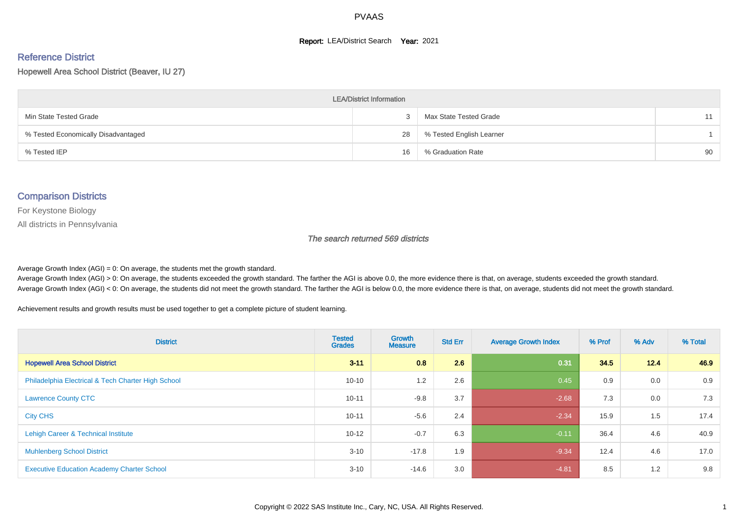#### **Report: LEA/District Search Year: 2021**

# Reference District

Hopewell Area School District (Beaver, IU 27)

| <b>LEA/District Information</b>     |    |                          |    |  |  |  |  |  |  |
|-------------------------------------|----|--------------------------|----|--|--|--|--|--|--|
| Min State Tested Grade              |    | Max State Tested Grade   | 11 |  |  |  |  |  |  |
| % Tested Economically Disadvantaged | 28 | % Tested English Learner |    |  |  |  |  |  |  |
| % Tested IEP                        | 16 | % Graduation Rate        | 90 |  |  |  |  |  |  |

#### Comparison Districts

For Keystone Biology

All districts in Pennsylvania

The search returned 569 districts

Average Growth Index  $(AGI) = 0$ : On average, the students met the growth standard.

Average Growth Index (AGI) > 0: On average, the students exceeded the growth standard. The farther the AGI is above 0.0, the more evidence there is that, on average, students exceeded the growth standard. Average Growth Index (AGI) < 0: On average, the students did not meet the growth standard. The farther the AGI is below 0.0, the more evidence there is that, on average, students did not meet the growth standard.

Achievement results and growth results must be used together to get a complete picture of student learning.

| <b>District</b>                                    | <b>Tested</b><br><b>Grades</b> | Growth<br><b>Measure</b> | <b>Std Err</b> | <b>Average Growth Index</b> | % Prof | % Adv | % Total |
|----------------------------------------------------|--------------------------------|--------------------------|----------------|-----------------------------|--------|-------|---------|
| <b>Hopewell Area School District</b>               | $3 - 11$                       | 0.8                      | 2.6            | 0.31                        | 34.5   | 12.4  | 46.9    |
| Philadelphia Electrical & Tech Charter High School | $10 - 10$                      | 1.2                      | 2.6            | 0.45                        | 0.9    | 0.0   | 0.9     |
| <b>Lawrence County CTC</b>                         | $10 - 11$                      | $-9.8$                   | 3.7            | $-2.68$                     | 7.3    | 0.0   | 7.3     |
| <b>City CHS</b>                                    | $10 - 11$                      | $-5.6$                   | 2.4            | $-2.34$                     | 15.9   | 1.5   | 17.4    |
| Lehigh Career & Technical Institute                | $10 - 12$                      | $-0.7$                   | 6.3            | $-0.11$                     | 36.4   | 4.6   | 40.9    |
| <b>Muhlenberg School District</b>                  | $3 - 10$                       | $-17.8$                  | 1.9            | $-9.34$                     | 12.4   | 4.6   | 17.0    |
| <b>Executive Education Academy Charter School</b>  | $3 - 10$                       | $-14.6$                  | 3.0            | $-4.81$                     | 8.5    | 1.2   | 9.8     |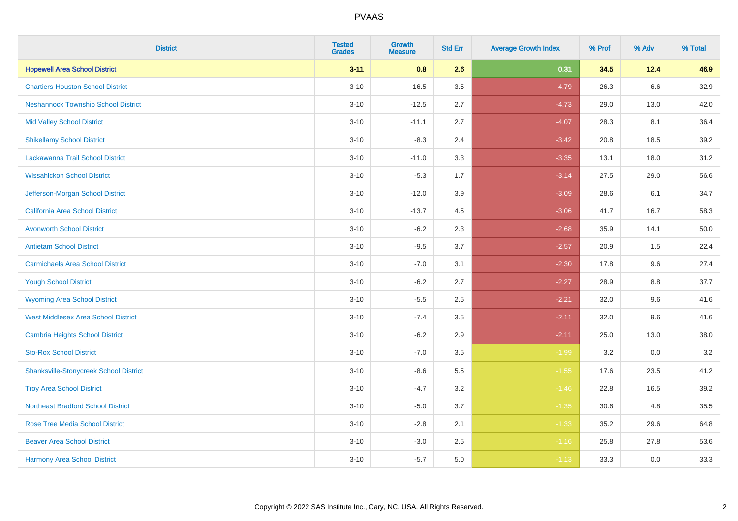| <b>District</b>                               | <b>Tested</b><br><b>Grades</b> | <b>Growth</b><br><b>Measure</b> | <b>Std Err</b> | <b>Average Growth Index</b> | % Prof | % Adv   | % Total |
|-----------------------------------------------|--------------------------------|---------------------------------|----------------|-----------------------------|--------|---------|---------|
| <b>Hopewell Area School District</b>          | $3 - 11$                       | 0.8                             | 2.6            | 0.31                        | 34.5   | 12.4    | 46.9    |
| <b>Chartiers-Houston School District</b>      | $3 - 10$                       | $-16.5$                         | 3.5            | $-4.79$                     | 26.3   | $6.6\,$ | 32.9    |
| <b>Neshannock Township School District</b>    | $3 - 10$                       | $-12.5$                         | 2.7            | $-4.73$                     | 29.0   | 13.0    | 42.0    |
| <b>Mid Valley School District</b>             | $3 - 10$                       | $-11.1$                         | 2.7            | $-4.07$                     | 28.3   | 8.1     | 36.4    |
| <b>Shikellamy School District</b>             | $3 - 10$                       | $-8.3$                          | 2.4            | $-3.42$                     | 20.8   | 18.5    | 39.2    |
| Lackawanna Trail School District              | $3 - 10$                       | $-11.0$                         | 3.3            | $-3.35$                     | 13.1   | 18.0    | 31.2    |
| <b>Wissahickon School District</b>            | $3 - 10$                       | $-5.3$                          | 1.7            | $-3.14$                     | 27.5   | 29.0    | 56.6    |
| Jefferson-Morgan School District              | $3 - 10$                       | $-12.0$                         | 3.9            | $-3.09$                     | 28.6   | 6.1     | 34.7    |
| California Area School District               | $3 - 10$                       | $-13.7$                         | 4.5            | $-3.06$                     | 41.7   | 16.7    | 58.3    |
| <b>Avonworth School District</b>              | $3 - 10$                       | $-6.2$                          | 2.3            | $-2.68$                     | 35.9   | 14.1    | 50.0    |
| <b>Antietam School District</b>               | $3 - 10$                       | $-9.5$                          | 3.7            | $-2.57$                     | 20.9   | 1.5     | 22.4    |
| <b>Carmichaels Area School District</b>       | $3 - 10$                       | $-7.0$                          | 3.1            | $-2.30$                     | 17.8   | 9.6     | 27.4    |
| <b>Yough School District</b>                  | $3 - 10$                       | $-6.2$                          | 2.7            | $-2.27$                     | 28.9   | 8.8     | 37.7    |
| <b>Wyoming Area School District</b>           | $3 - 10$                       | $-5.5$                          | 2.5            | $-2.21$                     | 32.0   | 9.6     | 41.6    |
| <b>West Middlesex Area School District</b>    | $3 - 10$                       | $-7.4$                          | 3.5            | $-2.11$                     | 32.0   | 9.6     | 41.6    |
| <b>Cambria Heights School District</b>        | $3 - 10$                       | $-6.2$                          | 2.9            | $-2.11$                     | 25.0   | 13.0    | 38.0    |
| <b>Sto-Rox School District</b>                | $3 - 10$                       | $-7.0$                          | 3.5            | $-1.99$                     | 3.2    | 0.0     | $3.2\,$ |
| <b>Shanksville-Stonycreek School District</b> | $3 - 10$                       | $-8.6$                          | 5.5            | $-1.55$                     | 17.6   | 23.5    | 41.2    |
| <b>Troy Area School District</b>              | $3 - 10$                       | $-4.7$                          | 3.2            | $-1.46$                     | 22.8   | 16.5    | 39.2    |
| <b>Northeast Bradford School District</b>     | $3 - 10$                       | $-5.0$                          | 3.7            | $-1.35$                     | 30.6   | 4.8     | 35.5    |
| <b>Rose Tree Media School District</b>        | $3 - 10$                       | $-2.8$                          | 2.1            | $-1.33$                     | 35.2   | 29.6    | 64.8    |
| <b>Beaver Area School District</b>            | $3 - 10$                       | $-3.0$                          | 2.5            | $-1.16$                     | 25.8   | 27.8    | 53.6    |
| <b>Harmony Area School District</b>           | $3 - 10$                       | $-5.7$                          | 5.0            | $-1.13$                     | 33.3   | 0.0     | 33.3    |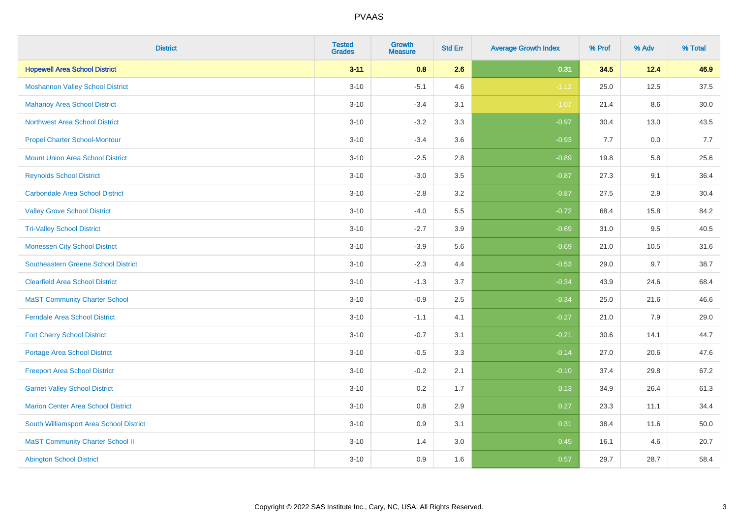| <b>District</b>                            | <b>Tested</b><br><b>Grades</b> | <b>Growth</b><br><b>Measure</b> | <b>Std Err</b> | <b>Average Growth Index</b> | % Prof | % Adv | % Total |
|--------------------------------------------|--------------------------------|---------------------------------|----------------|-----------------------------|--------|-------|---------|
| <b>Hopewell Area School District</b>       | $3 - 11$                       | 0.8                             | 2.6            | 0.31                        | 34.5   | 12.4  | 46.9    |
| <b>Moshannon Valley School District</b>    | $3 - 10$                       | $-5.1$                          | 4.6            | $-1.12$                     | 25.0   | 12.5  | 37.5    |
| <b>Mahanoy Area School District</b>        | $3 - 10$                       | $-3.4$                          | 3.1            | $-1.07$                     | 21.4   | 8.6   | 30.0    |
| <b>Northwest Area School District</b>      | $3 - 10$                       | $-3.2$                          | 3.3            | $-0.97$                     | 30.4   | 13.0  | 43.5    |
| <b>Propel Charter School-Montour</b>       | $3 - 10$                       | $-3.4$                          | 3.6            | $-0.93$                     | 7.7    | 0.0   | 7.7     |
| <b>Mount Union Area School District</b>    | $3 - 10$                       | $-2.5$                          | 2.8            | $-0.89$                     | 19.8   | 5.8   | 25.6    |
| <b>Reynolds School District</b>            | $3 - 10$                       | $-3.0$                          | 3.5            | $-0.87$                     | 27.3   | 9.1   | 36.4    |
| <b>Carbondale Area School District</b>     | $3 - 10$                       | $-2.8$                          | 3.2            | $-0.87$                     | 27.5   | 2.9   | 30.4    |
| <b>Valley Grove School District</b>        | $3 - 10$                       | $-4.0$                          | 5.5            | $-0.72$                     | 68.4   | 15.8  | 84.2    |
| <b>Tri-Valley School District</b>          | $3 - 10$                       | $-2.7$                          | 3.9            | $-0.69$                     | 31.0   | 9.5   | 40.5    |
| <b>Monessen City School District</b>       | $3 - 10$                       | $-3.9$                          | 5.6            | $-0.69$                     | 21.0   | 10.5  | 31.6    |
| <b>Southeastern Greene School District</b> | $3 - 10$                       | $-2.3$                          | 4.4            | $-0.53$                     | 29.0   | 9.7   | 38.7    |
| <b>Clearfield Area School District</b>     | $3 - 10$                       | $-1.3$                          | 3.7            | $-0.34$                     | 43.9   | 24.6  | 68.4    |
| <b>MaST Community Charter School</b>       | $3 - 10$                       | $-0.9$                          | 2.5            | $-0.34$                     | 25.0   | 21.6  | 46.6    |
| <b>Ferndale Area School District</b>       | $3 - 10$                       | $-1.1$                          | 4.1            | $-0.27$                     | 21.0   | 7.9   | 29.0    |
| <b>Fort Cherry School District</b>         | $3 - 10$                       | $-0.7$                          | 3.1            | $-0.21$                     | 30.6   | 14.1  | 44.7    |
| <b>Portage Area School District</b>        | $3 - 10$                       | $-0.5$                          | 3.3            | $-0.14$                     | 27.0   | 20.6  | 47.6    |
| <b>Freeport Area School District</b>       | $3 - 10$                       | $-0.2$                          | 2.1            | $-0.10$                     | 37.4   | 29.8  | 67.2    |
| <b>Garnet Valley School District</b>       | $3 - 10$                       | 0.2                             | 1.7            | 0.13                        | 34.9   | 26.4  | 61.3    |
| Marion Center Area School District         | $3 - 10$                       | 0.8                             | 2.9            | 0.27                        | 23.3   | 11.1  | 34.4    |
| South Williamsport Area School District    | $3 - 10$                       | 0.9                             | 3.1            | 0.31                        | 38.4   | 11.6  | 50.0    |
| <b>MaST Community Charter School II</b>    | $3 - 10$                       | 1.4                             | 3.0            | 0.45                        | 16.1   | 4.6   | 20.7    |
| <b>Abington School District</b>            | $3 - 10$                       | 0.9                             | 1.6            | 0.57                        | 29.7   | 28.7  | 58.4    |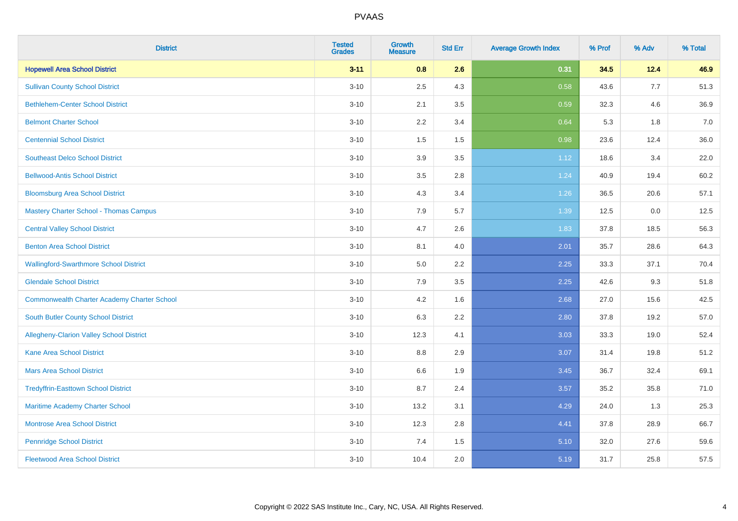| <b>District</b>                                    | <b>Tested</b><br><b>Grades</b> | <b>Growth</b><br><b>Measure</b> | <b>Std Err</b> | <b>Average Growth Index</b> | % Prof | % Adv | % Total |
|----------------------------------------------------|--------------------------------|---------------------------------|----------------|-----------------------------|--------|-------|---------|
| <b>Hopewell Area School District</b>               | $3 - 11$                       | 0.8                             | 2.6            | 0.31                        | 34.5   | 12.4  | 46.9    |
| <b>Sullivan County School District</b>             | $3 - 10$                       | 2.5                             | 4.3            | 0.58                        | 43.6   | 7.7   | 51.3    |
| <b>Bethlehem-Center School District</b>            | $3 - 10$                       | 2.1                             | 3.5            | 0.59                        | 32.3   | 4.6   | 36.9    |
| <b>Belmont Charter School</b>                      | $3 - 10$                       | 2.2                             | 3.4            | 0.64                        | 5.3    | 1.8   | 7.0     |
| <b>Centennial School District</b>                  | $3 - 10$                       | 1.5                             | 1.5            | 0.98                        | 23.6   | 12.4  | 36.0    |
| <b>Southeast Delco School District</b>             | $3 - 10$                       | 3.9                             | 3.5            | 1.12                        | 18.6   | 3.4   | 22.0    |
| <b>Bellwood-Antis School District</b>              | $3 - 10$                       | 3.5                             | 2.8            | 1.24                        | 40.9   | 19.4  | 60.2    |
| <b>Bloomsburg Area School District</b>             | $3 - 10$                       | 4.3                             | 3.4            | 1.26                        | 36.5   | 20.6  | 57.1    |
| <b>Mastery Charter School - Thomas Campus</b>      | $3 - 10$                       | 7.9                             | 5.7            | 1.39                        | 12.5   | 0.0   | 12.5    |
| <b>Central Valley School District</b>              | $3 - 10$                       | 4.7                             | 2.6            | 1.83                        | 37.8   | 18.5  | 56.3    |
| <b>Benton Area School District</b>                 | $3 - 10$                       | 8.1                             | 4.0            | 2.01                        | 35.7   | 28.6  | 64.3    |
| <b>Wallingford-Swarthmore School District</b>      | $3 - 10$                       | 5.0                             | 2.2            | 2.25                        | 33.3   | 37.1  | 70.4    |
| <b>Glendale School District</b>                    | $3 - 10$                       | 7.9                             | 3.5            | 2.25                        | 42.6   | 9.3   | 51.8    |
| <b>Commonwealth Charter Academy Charter School</b> | $3 - 10$                       | 4.2                             | 1.6            | 2.68                        | 27.0   | 15.6  | 42.5    |
| South Butler County School District                | $3 - 10$                       | 6.3                             | 2.2            | 2.80                        | 37.8   | 19.2  | 57.0    |
| Allegheny-Clarion Valley School District           | $3 - 10$                       | 12.3                            | 4.1            | 3.03                        | 33.3   | 19.0  | 52.4    |
| <b>Kane Area School District</b>                   | $3 - 10$                       | 8.8                             | 2.9            | 3.07                        | 31.4   | 19.8  | 51.2    |
| <b>Mars Area School District</b>                   | $3 - 10$                       | 6.6                             | 1.9            | 3.45                        | 36.7   | 32.4  | 69.1    |
| <b>Tredyffrin-Easttown School District</b>         | $3 - 10$                       | 8.7                             | 2.4            | 3.57                        | 35.2   | 35.8  | 71.0    |
| Maritime Academy Charter School                    | $3 - 10$                       | 13.2                            | 3.1            | 4.29                        | 24.0   | 1.3   | 25.3    |
| <b>Montrose Area School District</b>               | $3 - 10$                       | 12.3                            | 2.8            | 4.41                        | 37.8   | 28.9  | 66.7    |
| <b>Pennridge School District</b>                   | $3 - 10$                       | 7.4                             | 1.5            | 5.10                        | 32.0   | 27.6  | 59.6    |
| <b>Fleetwood Area School District</b>              | $3 - 10$                       | 10.4                            | 2.0            | 5.19                        | 31.7   | 25.8  | 57.5    |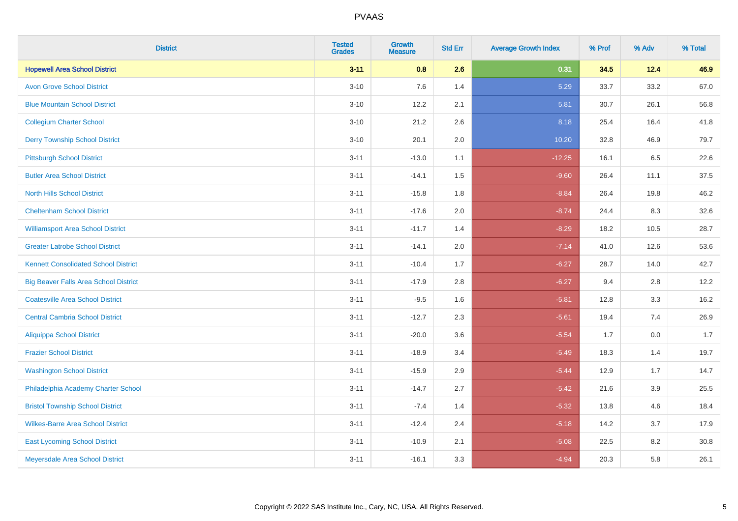| <b>District</b>                              | <b>Tested</b><br><b>Grades</b> | <b>Growth</b><br><b>Measure</b> | <b>Std Err</b> | <b>Average Growth Index</b> | % Prof | % Adv | % Total |
|----------------------------------------------|--------------------------------|---------------------------------|----------------|-----------------------------|--------|-------|---------|
| <b>Hopewell Area School District</b>         | $3 - 11$                       | 0.8                             | 2.6            | 0.31                        | 34.5   | 12.4  | 46.9    |
| <b>Avon Grove School District</b>            | $3 - 10$                       | 7.6                             | 1.4            | 5.29                        | 33.7   | 33.2  | 67.0    |
| <b>Blue Mountain School District</b>         | $3 - 10$                       | 12.2                            | 2.1            | 5.81                        | 30.7   | 26.1  | 56.8    |
| <b>Collegium Charter School</b>              | $3 - 10$                       | 21.2                            | 2.6            | 8.18                        | 25.4   | 16.4  | 41.8    |
| <b>Derry Township School District</b>        | $3 - 10$                       | 20.1                            | 2.0            | 10.20                       | 32.8   | 46.9  | 79.7    |
| <b>Pittsburgh School District</b>            | $3 - 11$                       | $-13.0$                         | 1.1            | $-12.25$                    | 16.1   | 6.5   | 22.6    |
| <b>Butler Area School District</b>           | $3 - 11$                       | $-14.1$                         | 1.5            | $-9.60$                     | 26.4   | 11.1  | 37.5    |
| <b>North Hills School District</b>           | $3 - 11$                       | $-15.8$                         | 1.8            | $-8.84$                     | 26.4   | 19.8  | 46.2    |
| <b>Cheltenham School District</b>            | $3 - 11$                       | $-17.6$                         | 2.0            | $-8.74$                     | 24.4   | 8.3   | 32.6    |
| <b>Williamsport Area School District</b>     | $3 - 11$                       | $-11.7$                         | 1.4            | $-8.29$                     | 18.2   | 10.5  | 28.7    |
| <b>Greater Latrobe School District</b>       | $3 - 11$                       | $-14.1$                         | 2.0            | $-7.14$                     | 41.0   | 12.6  | 53.6    |
| <b>Kennett Consolidated School District</b>  | $3 - 11$                       | $-10.4$                         | 1.7            | $-6.27$                     | 28.7   | 14.0  | 42.7    |
| <b>Big Beaver Falls Area School District</b> | $3 - 11$                       | $-17.9$                         | 2.8            | $-6.27$                     | 9.4    | 2.8   | 12.2    |
| <b>Coatesville Area School District</b>      | $3 - 11$                       | $-9.5$                          | 1.6            | $-5.81$                     | 12.8   | 3.3   | 16.2    |
| <b>Central Cambria School District</b>       | $3 - 11$                       | $-12.7$                         | 2.3            | $-5.61$                     | 19.4   | 7.4   | 26.9    |
| <b>Aliquippa School District</b>             | $3 - 11$                       | $-20.0$                         | 3.6            | $-5.54$                     | 1.7    | 0.0   | 1.7     |
| <b>Frazier School District</b>               | $3 - 11$                       | $-18.9$                         | 3.4            | $-5.49$                     | 18.3   | 1.4   | 19.7    |
| <b>Washington School District</b>            | $3 - 11$                       | $-15.9$                         | 2.9            | $-5.44$                     | 12.9   | 1.7   | 14.7    |
| Philadelphia Academy Charter School          | $3 - 11$                       | $-14.7$                         | 2.7            | $-5.42$                     | 21.6   | 3.9   | 25.5    |
| <b>Bristol Township School District</b>      | $3 - 11$                       | $-7.4$                          | 1.4            | $-5.32$                     | 13.8   | 4.6   | 18.4    |
| <b>Wilkes-Barre Area School District</b>     | $3 - 11$                       | $-12.4$                         | 2.4            | $-5.18$                     | 14.2   | 3.7   | 17.9    |
| <b>East Lycoming School District</b>         | $3 - 11$                       | $-10.9$                         | 2.1            | $-5.08$                     | 22.5   | 8.2   | 30.8    |
| Meyersdale Area School District              | $3 - 11$                       | $-16.1$                         | 3.3            | $-4.94$                     | 20.3   | 5.8   | 26.1    |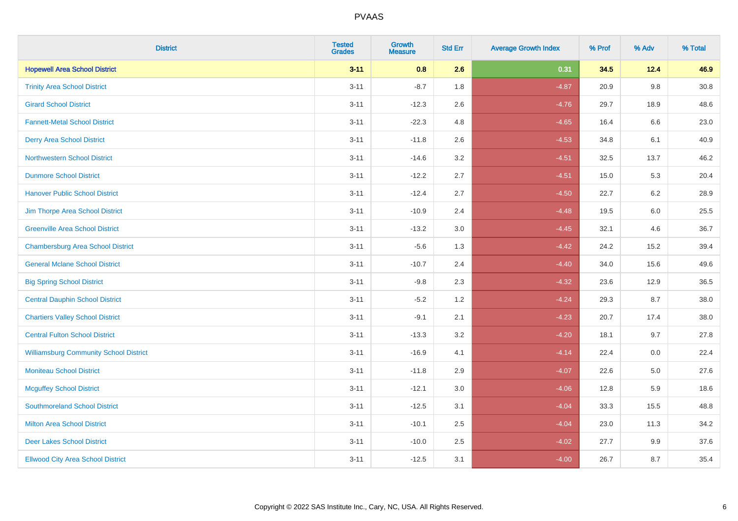| <b>District</b>                               | <b>Tested</b><br><b>Grades</b> | <b>Growth</b><br><b>Measure</b> | <b>Std Err</b> | <b>Average Growth Index</b> | % Prof | % Adv   | % Total |
|-----------------------------------------------|--------------------------------|---------------------------------|----------------|-----------------------------|--------|---------|---------|
| <b>Hopewell Area School District</b>          | $3 - 11$                       | 0.8                             | 2.6            | 0.31                        | 34.5   | 12.4    | 46.9    |
| <b>Trinity Area School District</b>           | $3 - 11$                       | $-8.7$                          | 1.8            | $-4.87$                     | 20.9   | 9.8     | 30.8    |
| <b>Girard School District</b>                 | $3 - 11$                       | $-12.3$                         | 2.6            | $-4.76$                     | 29.7   | 18.9    | 48.6    |
| <b>Fannett-Metal School District</b>          | $3 - 11$                       | $-22.3$                         | 4.8            | $-4.65$                     | 16.4   | 6.6     | 23.0    |
| <b>Derry Area School District</b>             | $3 - 11$                       | $-11.8$                         | 2.6            | $-4.53$                     | 34.8   | 6.1     | 40.9    |
| <b>Northwestern School District</b>           | $3 - 11$                       | $-14.6$                         | 3.2            | $-4.51$                     | 32.5   | 13.7    | 46.2    |
| <b>Dunmore School District</b>                | $3 - 11$                       | $-12.2$                         | 2.7            | $-4.51$                     | 15.0   | 5.3     | 20.4    |
| <b>Hanover Public School District</b>         | $3 - 11$                       | $-12.4$                         | 2.7            | $-4.50$                     | 22.7   | 6.2     | 28.9    |
| Jim Thorpe Area School District               | $3 - 11$                       | $-10.9$                         | 2.4            | $-4.48$                     | 19.5   | $6.0\,$ | 25.5    |
| <b>Greenville Area School District</b>        | $3 - 11$                       | $-13.2$                         | 3.0            | $-4.45$                     | 32.1   | 4.6     | 36.7    |
| <b>Chambersburg Area School District</b>      | $3 - 11$                       | $-5.6$                          | 1.3            | $-4.42$                     | 24.2   | 15.2    | 39.4    |
| <b>General Mclane School District</b>         | $3 - 11$                       | $-10.7$                         | 2.4            | $-4.40$                     | 34.0   | 15.6    | 49.6    |
| <b>Big Spring School District</b>             | $3 - 11$                       | $-9.8$                          | 2.3            | $-4.32$                     | 23.6   | 12.9    | 36.5    |
| <b>Central Dauphin School District</b>        | $3 - 11$                       | $-5.2$                          | 1.2            | $-4.24$                     | 29.3   | 8.7     | 38.0    |
| <b>Chartiers Valley School District</b>       | $3 - 11$                       | $-9.1$                          | 2.1            | $-4.23$                     | 20.7   | 17.4    | 38.0    |
| <b>Central Fulton School District</b>         | $3 - 11$                       | $-13.3$                         | 3.2            | $-4.20$                     | 18.1   | 9.7     | 27.8    |
| <b>Williamsburg Community School District</b> | $3 - 11$                       | $-16.9$                         | 4.1            | $-4.14$                     | 22.4   | $0.0\,$ | 22.4    |
| <b>Moniteau School District</b>               | $3 - 11$                       | $-11.8$                         | 2.9            | $-4.07$                     | 22.6   | 5.0     | 27.6    |
| <b>Mcguffey School District</b>               | $3 - 11$                       | $-12.1$                         | 3.0            | $-4.06$                     | 12.8   | 5.9     | 18.6    |
| <b>Southmoreland School District</b>          | $3 - 11$                       | $-12.5$                         | 3.1            | $-4.04$                     | 33.3   | 15.5    | 48.8    |
| <b>Milton Area School District</b>            | $3 - 11$                       | $-10.1$                         | 2.5            | $-4.04$                     | 23.0   | 11.3    | 34.2    |
| <b>Deer Lakes School District</b>             | $3 - 11$                       | $-10.0$                         | 2.5            | $-4.02$                     | 27.7   | 9.9     | 37.6    |
| <b>Ellwood City Area School District</b>      | $3 - 11$                       | $-12.5$                         | 3.1            | $-4.00$                     | 26.7   | 8.7     | 35.4    |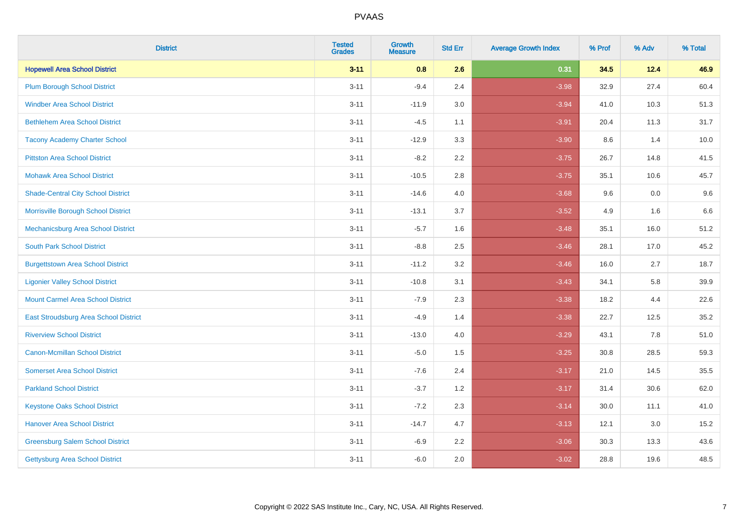| <b>District</b>                           | <b>Tested</b><br><b>Grades</b> | <b>Growth</b><br><b>Measure</b> | <b>Std Err</b> | <b>Average Growth Index</b> | % Prof | % Adv | % Total |
|-------------------------------------------|--------------------------------|---------------------------------|----------------|-----------------------------|--------|-------|---------|
| <b>Hopewell Area School District</b>      | $3 - 11$                       | 0.8                             | 2.6            | 0.31                        | 34.5   | 12.4  | 46.9    |
| <b>Plum Borough School District</b>       | $3 - 11$                       | $-9.4$                          | 2.4            | $-3.98$                     | 32.9   | 27.4  | 60.4    |
| <b>Windber Area School District</b>       | $3 - 11$                       | $-11.9$                         | 3.0            | $-3.94$                     | 41.0   | 10.3  | 51.3    |
| <b>Bethlehem Area School District</b>     | $3 - 11$                       | $-4.5$                          | 1.1            | $-3.91$                     | 20.4   | 11.3  | 31.7    |
| <b>Tacony Academy Charter School</b>      | $3 - 11$                       | $-12.9$                         | 3.3            | $-3.90$                     | 8.6    | 1.4   | 10.0    |
| <b>Pittston Area School District</b>      | $3 - 11$                       | $-8.2$                          | 2.2            | $-3.75$                     | 26.7   | 14.8  | 41.5    |
| <b>Mohawk Area School District</b>        | $3 - 11$                       | $-10.5$                         | 2.8            | $-3.75$                     | 35.1   | 10.6  | 45.7    |
| <b>Shade-Central City School District</b> | $3 - 11$                       | $-14.6$                         | 4.0            | $-3.68$                     | 9.6    | 0.0   | 9.6     |
| Morrisville Borough School District       | $3 - 11$                       | $-13.1$                         | 3.7            | $-3.52$                     | 4.9    | 1.6   | 6.6     |
| Mechanicsburg Area School District        | $3 - 11$                       | $-5.7$                          | 1.6            | $-3.48$                     | 35.1   | 16.0  | 51.2    |
| <b>South Park School District</b>         | $3 - 11$                       | $-8.8$                          | 2.5            | $-3.46$                     | 28.1   | 17.0  | 45.2    |
| <b>Burgettstown Area School District</b>  | $3 - 11$                       | $-11.2$                         | 3.2            | $-3.46$                     | 16.0   | 2.7   | 18.7    |
| <b>Ligonier Valley School District</b>    | $3 - 11$                       | $-10.8$                         | 3.1            | $-3.43$                     | 34.1   | 5.8   | 39.9    |
| <b>Mount Carmel Area School District</b>  | $3 - 11$                       | $-7.9$                          | 2.3            | $-3.38$                     | 18.2   | 4.4   | 22.6    |
| East Stroudsburg Area School District     | $3 - 11$                       | $-4.9$                          | 1.4            | $-3.38$                     | 22.7   | 12.5  | 35.2    |
| <b>Riverview School District</b>          | $3 - 11$                       | $-13.0$                         | 4.0            | $-3.29$                     | 43.1   | 7.8   | 51.0    |
| <b>Canon-Mcmillan School District</b>     | $3 - 11$                       | $-5.0$                          | 1.5            | $-3.25$                     | 30.8   | 28.5  | 59.3    |
| <b>Somerset Area School District</b>      | $3 - 11$                       | $-7.6$                          | 2.4            | $-3.17$                     | 21.0   | 14.5  | 35.5    |
| <b>Parkland School District</b>           | $3 - 11$                       | $-3.7$                          | 1.2            | $-3.17$                     | 31.4   | 30.6  | 62.0    |
| <b>Keystone Oaks School District</b>      | $3 - 11$                       | $-7.2$                          | 2.3            | $-3.14$                     | 30.0   | 11.1  | 41.0    |
| <b>Hanover Area School District</b>       | $3 - 11$                       | $-14.7$                         | 4.7            | $-3.13$                     | 12.1   | 3.0   | 15.2    |
| <b>Greensburg Salem School District</b>   | $3 - 11$                       | $-6.9$                          | 2.2            | $-3.06$                     | 30.3   | 13.3  | 43.6    |
| Gettysburg Area School District           | $3 - 11$                       | $-6.0$                          | 2.0            | $-3.02$                     | 28.8   | 19.6  | 48.5    |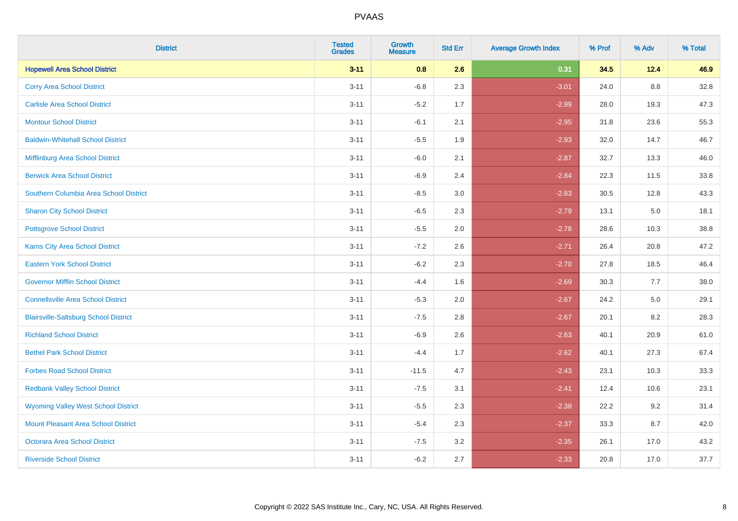| <b>District</b>                              | <b>Tested</b><br><b>Grades</b> | <b>Growth</b><br><b>Measure</b> | <b>Std Err</b> | <b>Average Growth Index</b> | % Prof | % Adv | % Total |
|----------------------------------------------|--------------------------------|---------------------------------|----------------|-----------------------------|--------|-------|---------|
| <b>Hopewell Area School District</b>         | $3 - 11$                       | 0.8                             | 2.6            | 0.31                        | 34.5   | 12.4  | 46.9    |
| <b>Corry Area School District</b>            | $3 - 11$                       | $-6.8$                          | 2.3            | $-3.01$                     | 24.0   | 8.8   | 32.8    |
| <b>Carlisle Area School District</b>         | $3 - 11$                       | $-5.2$                          | 1.7            | $-2.99$                     | 28.0   | 19.3  | 47.3    |
| <b>Montour School District</b>               | $3 - 11$                       | $-6.1$                          | 2.1            | $-2.95$                     | 31.8   | 23.6  | 55.3    |
| <b>Baldwin-Whitehall School District</b>     | $3 - 11$                       | $-5.5$                          | 1.9            | $-2.93$                     | 32.0   | 14.7  | 46.7    |
| Mifflinburg Area School District             | $3 - 11$                       | $-6.0$                          | 2.1            | $-2.87$                     | 32.7   | 13.3  | 46.0    |
| <b>Berwick Area School District</b>          | $3 - 11$                       | $-6.9$                          | 2.4            | $-2.84$                     | 22.3   | 11.5  | 33.8    |
| Southern Columbia Area School District       | $3 - 11$                       | $-8.5$                          | 3.0            | $-2.83$                     | 30.5   | 12.8  | 43.3    |
| <b>Sharon City School District</b>           | $3 - 11$                       | $-6.5$                          | 2.3            | $-2.79$                     | 13.1   | 5.0   | 18.1    |
| <b>Pottsgrove School District</b>            | $3 - 11$                       | $-5.5$                          | 2.0            | $-2.78$                     | 28.6   | 10.3  | 38.8    |
| Karns City Area School District              | $3 - 11$                       | $-7.2$                          | 2.6            | $-2.71$                     | 26.4   | 20.8  | 47.2    |
| <b>Eastern York School District</b>          | $3 - 11$                       | $-6.2$                          | 2.3            | $-2.70$                     | 27.8   | 18.5  | 46.4    |
| <b>Governor Mifflin School District</b>      | $3 - 11$                       | $-4.4$                          | 1.6            | $-2.69$                     | 30.3   | 7.7   | 38.0    |
| <b>Connellsville Area School District</b>    | $3 - 11$                       | $-5.3$                          | 2.0            | $-2.67$                     | 24.2   | 5.0   | 29.1    |
| <b>Blairsville-Saltsburg School District</b> | $3 - 11$                       | $-7.5$                          | 2.8            | $-2.67$                     | 20.1   | 8.2   | 28.3    |
| <b>Richland School District</b>              | $3 - 11$                       | $-6.9$                          | 2.6            | $-2.63$                     | 40.1   | 20.9  | 61.0    |
| <b>Bethel Park School District</b>           | $3 - 11$                       | $-4.4$                          | 1.7            | $-2.62$                     | 40.1   | 27.3  | 67.4    |
| <b>Forbes Road School District</b>           | $3 - 11$                       | $-11.5$                         | 4.7            | $-2.43$                     | 23.1   | 10.3  | 33.3    |
| <b>Redbank Valley School District</b>        | $3 - 11$                       | $-7.5$                          | 3.1            | $-2.41$                     | 12.4   | 10.6  | 23.1    |
| <b>Wyoming Valley West School District</b>   | $3 - 11$                       | $-5.5$                          | 2.3            | $-2.38$                     | 22.2   | 9.2   | 31.4    |
| Mount Pleasant Area School District          | $3 - 11$                       | $-5.4$                          | 2.3            | $-2.37$                     | 33.3   | 8.7   | 42.0    |
| <b>Octorara Area School District</b>         | $3 - 11$                       | $-7.5$                          | 3.2            | $-2.35$                     | 26.1   | 17.0  | 43.2    |
| <b>Riverside School District</b>             | $3 - 11$                       | $-6.2$                          | 2.7            | $-2.33$                     | 20.8   | 17.0  | 37.7    |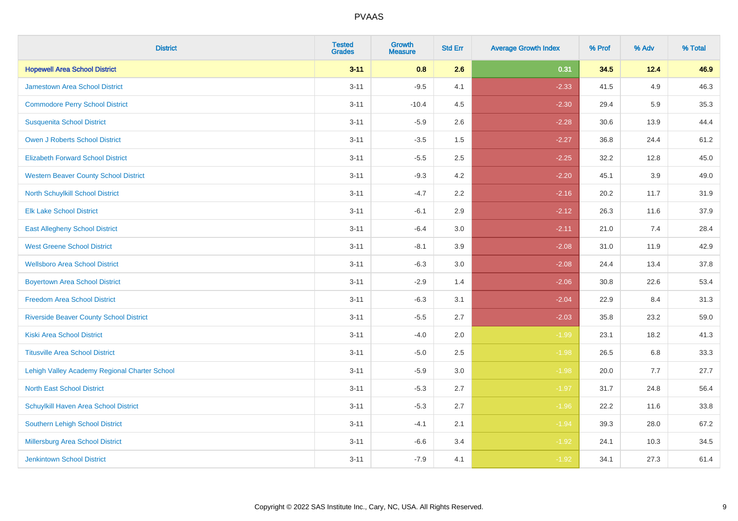| <b>District</b>                                | <b>Tested</b><br><b>Grades</b> | <b>Growth</b><br><b>Measure</b> | <b>Std Err</b> | <b>Average Growth Index</b> | % Prof | % Adv   | % Total |
|------------------------------------------------|--------------------------------|---------------------------------|----------------|-----------------------------|--------|---------|---------|
| <b>Hopewell Area School District</b>           | $3 - 11$                       | 0.8                             | 2.6            | 0.31                        | 34.5   | 12.4    | 46.9    |
| Jamestown Area School District                 | $3 - 11$                       | $-9.5$                          | 4.1            | $-2.33$                     | 41.5   | 4.9     | 46.3    |
| <b>Commodore Perry School District</b>         | $3 - 11$                       | $-10.4$                         | 4.5            | $-2.30$                     | 29.4   | 5.9     | 35.3    |
| <b>Susquenita School District</b>              | $3 - 11$                       | $-5.9$                          | 2.6            | $-2.28$                     | 30.6   | 13.9    | 44.4    |
| <b>Owen J Roberts School District</b>          | $3 - 11$                       | $-3.5$                          | 1.5            | $-2.27$                     | 36.8   | 24.4    | 61.2    |
| <b>Elizabeth Forward School District</b>       | $3 - 11$                       | $-5.5$                          | 2.5            | $-2.25$                     | 32.2   | 12.8    | 45.0    |
| <b>Western Beaver County School District</b>   | $3 - 11$                       | $-9.3$                          | 4.2            | $-2.20$                     | 45.1   | 3.9     | 49.0    |
| North Schuylkill School District               | $3 - 11$                       | $-4.7$                          | 2.2            | $-2.16$                     | 20.2   | 11.7    | 31.9    |
| <b>Elk Lake School District</b>                | $3 - 11$                       | $-6.1$                          | 2.9            | $-2.12$                     | 26.3   | 11.6    | 37.9    |
| <b>East Allegheny School District</b>          | $3 - 11$                       | $-6.4$                          | 3.0            | $-2.11$                     | 21.0   | 7.4     | 28.4    |
| <b>West Greene School District</b>             | $3 - 11$                       | $-8.1$                          | 3.9            | $-2.08$                     | 31.0   | 11.9    | 42.9    |
| <b>Wellsboro Area School District</b>          | $3 - 11$                       | $-6.3$                          | 3.0            | $-2.08$                     | 24.4   | 13.4    | 37.8    |
| <b>Boyertown Area School District</b>          | $3 - 11$                       | $-2.9$                          | 1.4            | $-2.06$                     | 30.8   | 22.6    | 53.4    |
| <b>Freedom Area School District</b>            | $3 - 11$                       | $-6.3$                          | 3.1            | $-2.04$                     | 22.9   | 8.4     | 31.3    |
| <b>Riverside Beaver County School District</b> | $3 - 11$                       | $-5.5$                          | 2.7            | $-2.03$                     | 35.8   | 23.2    | 59.0    |
| <b>Kiski Area School District</b>              | $3 - 11$                       | $-4.0$                          | 2.0            | $-1.99$                     | 23.1   | 18.2    | 41.3    |
| <b>Titusville Area School District</b>         | $3 - 11$                       | $-5.0$                          | 2.5            | $-1.98$                     | 26.5   | $6.8\,$ | 33.3    |
| Lehigh Valley Academy Regional Charter School  | $3 - 11$                       | $-5.9$                          | 3.0            | $-1.98$                     | 20.0   | 7.7     | 27.7    |
| <b>North East School District</b>              | $3 - 11$                       | $-5.3$                          | 2.7            | $-1.97$                     | 31.7   | 24.8    | 56.4    |
| Schuylkill Haven Area School District          | $3 - 11$                       | $-5.3$                          | 2.7            | $-1.96$                     | 22.2   | 11.6    | 33.8    |
| Southern Lehigh School District                | $3 - 11$                       | $-4.1$                          | 2.1            | $-1.94$                     | 39.3   | 28.0    | 67.2    |
| Millersburg Area School District               | $3 - 11$                       | $-6.6$                          | 3.4            | $-1.92$                     | 24.1   | 10.3    | 34.5    |
| Jenkintown School District                     | $3 - 11$                       | $-7.9$                          | 4.1            | $-1.92$                     | 34.1   | 27.3    | 61.4    |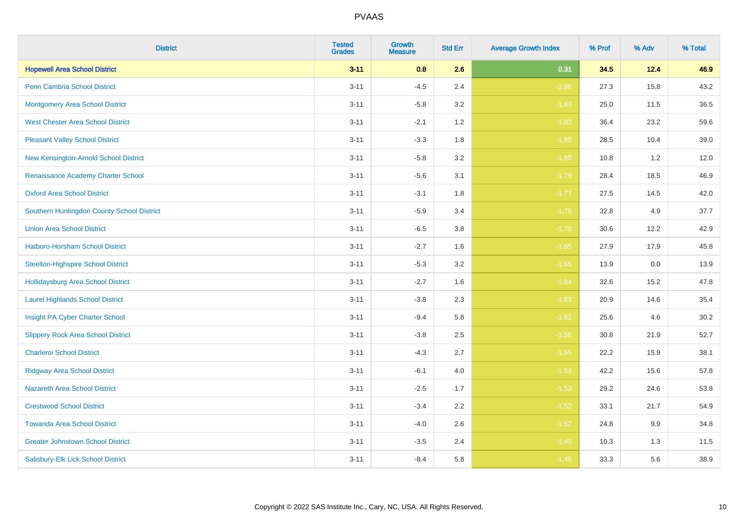| <b>District</b>                            | <b>Tested</b><br><b>Grades</b> | <b>Growth</b><br><b>Measure</b> | <b>Std Err</b> | <b>Average Growth Index</b> | % Prof | % Adv | % Total |
|--------------------------------------------|--------------------------------|---------------------------------|----------------|-----------------------------|--------|-------|---------|
| <b>Hopewell Area School District</b>       | $3 - 11$                       | 0.8                             | 2.6            | 0.31                        | 34.5   | 12.4  | 46.9    |
| <b>Penn Cambria School District</b>        | $3 - 11$                       | $-4.5$                          | 2.4            | $-1.86$                     | 27.3   | 15.8  | 43.2    |
| <b>Montgomery Area School District</b>     | $3 - 11$                       | $-5.8$                          | 3.2            | $-1.83$                     | 25.0   | 11.5  | 36.5    |
| <b>West Chester Area School District</b>   | $3 - 11$                       | $-2.1$                          | 1.2            | $-1.83$                     | 36.4   | 23.2  | 59.6    |
| <b>Pleasant Valley School District</b>     | $3 - 11$                       | $-3.3$                          | 1.8            | $-1.80$                     | 28.5   | 10.4  | 39.0    |
| New Kensington-Arnold School District      | $3 - 11$                       | $-5.8$                          | 3.2            | $-1.80$                     | 10.8   | 1.2   | 12.0    |
| Renaissance Academy Charter School         | $3 - 11$                       | $-5.6$                          | 3.1            | $-1.79$                     | 28.4   | 18.5  | 46.9    |
| <b>Oxford Area School District</b>         | $3 - 11$                       | $-3.1$                          | 1.8            | $-1.77$                     | 27.5   | 14.5  | 42.0    |
| Southern Huntingdon County School District | $3 - 11$                       | $-5.9$                          | 3.4            | $-1.76$                     | 32.8   | 4.9   | 37.7    |
| <b>Union Area School District</b>          | $3 - 11$                       | $-6.5$                          | 3.8            | $-1.70$                     | 30.6   | 12.2  | 42.9    |
| Hatboro-Horsham School District            | $3 - 11$                       | $-2.7$                          | 1.6            | $-1.65$                     | 27.9   | 17.9  | 45.8    |
| <b>Steelton-Highspire School District</b>  | $3 - 11$                       | $-5.3$                          | 3.2            | $-1.65$                     | 13.9   | 0.0   | 13.9    |
| Hollidaysburg Area School District         | $3 - 11$                       | $-2.7$                          | 1.6            | $-1.64$                     | 32.6   | 15.2  | 47.8    |
| <b>Laurel Highlands School District</b>    | $3 - 11$                       | $-3.8$                          | 2.3            | $-1.63$                     | 20.9   | 14.6  | 35.4    |
| Insight PA Cyber Charter School            | $3 - 11$                       | $-9.4$                          | 5.8            | $-1.62$                     | 25.6   | 4.6   | 30.2    |
| <b>Slippery Rock Area School District</b>  | $3 - 11$                       | $-3.8$                          | 2.5            | $-1.56$                     | 30.8   | 21.9  | 52.7    |
| <b>Charleroi School District</b>           | $3 - 11$                       | $-4.3$                          | 2.7            | $-1.55$                     | 22.2   | 15.9  | 38.1    |
| <b>Ridgway Area School District</b>        | $3 - 11$                       | $-6.1$                          | 4.0            | $-1.53$                     | 42.2   | 15.6  | 57.8    |
| <b>Nazareth Area School District</b>       | $3 - 11$                       | $-2.5$                          | 1.7            | $-1.53$                     | 29.2   | 24.6  | 53.8    |
| <b>Crestwood School District</b>           | $3 - 11$                       | $-3.4$                          | 2.2            | $-1.52$                     | 33.1   | 21.7  | 54.9    |
| <b>Towanda Area School District</b>        | $3 - 11$                       | $-4.0$                          | 2.6            | $-1.52$                     | 24.8   | 9.9   | 34.8    |
| <b>Greater Johnstown School District</b>   | $3 - 11$                       | $-3.5$                          | 2.4            | $-1.45$                     | 10.3   | 1.3   | 11.5    |
| Salisbury-Elk Lick School District         | $3 - 11$                       | $-8.4$                          | 5.8            | $-1.45$                     | 33.3   | 5.6   | 38.9    |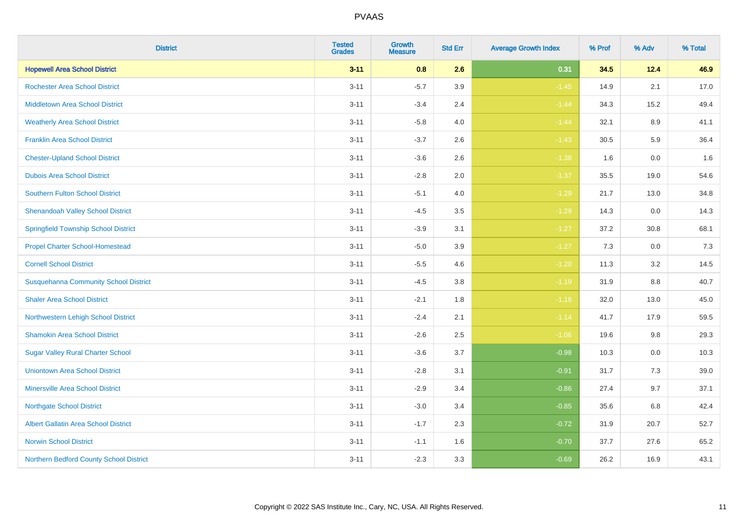| <b>District</b>                              | <b>Tested</b><br><b>Grades</b> | <b>Growth</b><br><b>Measure</b> | <b>Std Err</b> | <b>Average Growth Index</b> | % Prof | % Adv    | % Total |
|----------------------------------------------|--------------------------------|---------------------------------|----------------|-----------------------------|--------|----------|---------|
| <b>Hopewell Area School District</b>         | $3 - 11$                       | 0.8                             | 2.6            | 0.31                        | 34.5   | 12.4     | 46.9    |
| <b>Rochester Area School District</b>        | $3 - 11$                       | $-5.7$                          | 3.9            | $-1.45$                     | 14.9   | 2.1      | 17.0    |
| <b>Middletown Area School District</b>       | $3 - 11$                       | $-3.4$                          | 2.4            | $-1.44$                     | 34.3   | 15.2     | 49.4    |
| <b>Weatherly Area School District</b>        | $3 - 11$                       | $-5.8$                          | 4.0            | $-1.44$                     | 32.1   | 8.9      | 41.1    |
| <b>Franklin Area School District</b>         | $3 - 11$                       | $-3.7$                          | 2.6            | $-1.43$                     | 30.5   | 5.9      | 36.4    |
| <b>Chester-Upland School District</b>        | $3 - 11$                       | $-3.6$                          | 2.6            | $-1.38$                     | 1.6    | 0.0      | 1.6     |
| <b>Dubois Area School District</b>           | $3 - 11$                       | $-2.8$                          | 2.0            | $-1.37$                     | 35.5   | 19.0     | 54.6    |
| <b>Southern Fulton School District</b>       | $3 - 11$                       | $-5.1$                          | 4.0            | $-1.29$                     | 21.7   | 13.0     | 34.8    |
| <b>Shenandoah Valley School District</b>     | $3 - 11$                       | $-4.5$                          | 3.5            | $-1.29$                     | 14.3   | 0.0      | 14.3    |
| <b>Springfield Township School District</b>  | $3 - 11$                       | $-3.9$                          | 3.1            | $-1.27$                     | 37.2   | $30.8\,$ | 68.1    |
| <b>Propel Charter School-Homestead</b>       | $3 - 11$                       | $-5.0$                          | 3.9            | $-1.27$                     | 7.3    | 0.0      | 7.3     |
| <b>Cornell School District</b>               | $3 - 11$                       | $-5.5$                          | 4.6            | $-1.20$                     | 11.3   | 3.2      | 14.5    |
| <b>Susquehanna Community School District</b> | $3 - 11$                       | $-4.5$                          | $3.8\,$        | $-1.19$                     | 31.9   | $8.8\,$  | 40.7    |
| <b>Shaler Area School District</b>           | $3 - 11$                       | $-2.1$                          | 1.8            | $-1.18$                     | 32.0   | 13.0     | 45.0    |
| Northwestern Lehigh School District          | $3 - 11$                       | $-2.4$                          | 2.1            | $-1.14$                     | 41.7   | 17.9     | 59.5    |
| <b>Shamokin Area School District</b>         | $3 - 11$                       | $-2.6$                          | 2.5            | $-1.06$                     | 19.6   | 9.8      | 29.3    |
| <b>Sugar Valley Rural Charter School</b>     | $3 - 11$                       | $-3.6$                          | 3.7            | $-0.98$                     | 10.3   | 0.0      | 10.3    |
| <b>Uniontown Area School District</b>        | $3 - 11$                       | $-2.8$                          | 3.1            | $-0.91$                     | 31.7   | 7.3      | 39.0    |
| <b>Minersville Area School District</b>      | $3 - 11$                       | $-2.9$                          | 3.4            | $-0.86$                     | 27.4   | 9.7      | 37.1    |
| <b>Northgate School District</b>             | $3 - 11$                       | $-3.0$                          | 3.4            | $-0.85$                     | 35.6   | 6.8      | 42.4    |
| Albert Gallatin Area School District         | $3 - 11$                       | $-1.7$                          | 2.3            | $-0.72$                     | 31.9   | 20.7     | 52.7    |
| <b>Norwin School District</b>                | $3 - 11$                       | $-1.1$                          | 1.6            | $-0.70$                     | 37.7   | 27.6     | 65.2    |
| Northern Bedford County School District      | $3 - 11$                       | $-2.3$                          | 3.3            | $-0.69$                     | 26.2   | 16.9     | 43.1    |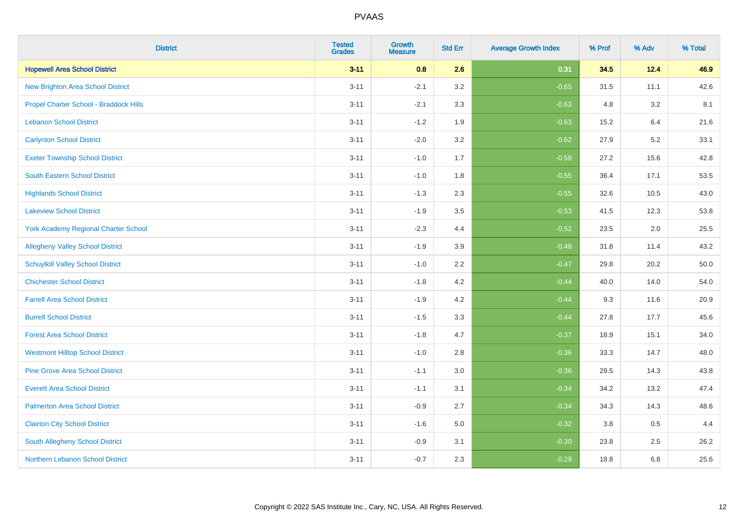| <b>District</b>                             | <b>Tested</b><br><b>Grades</b> | <b>Growth</b><br><b>Measure</b> | <b>Std Err</b> | <b>Average Growth Index</b> | % Prof | % Adv | % Total |
|---------------------------------------------|--------------------------------|---------------------------------|----------------|-----------------------------|--------|-------|---------|
| <b>Hopewell Area School District</b>        | $3 - 11$                       | 0.8                             | 2.6            | 0.31                        | 34.5   | 12.4  | 46.9    |
| <b>New Brighton Area School District</b>    | $3 - 11$                       | $-2.1$                          | 3.2            | $-0.65$                     | 31.5   | 11.1  | 42.6    |
| Propel Charter School - Braddock Hills      | $3 - 11$                       | $-2.1$                          | 3.3            | $-0.63$                     | 4.8    | 3.2   | 8.1     |
| <b>Lebanon School District</b>              | $3 - 11$                       | $-1.2$                          | 1.9            | $-0.63$                     | 15.2   | 6.4   | 21.6    |
| <b>Carlynton School District</b>            | $3 - 11$                       | $-2.0$                          | 3.2            | $-0.62$                     | 27.9   | 5.2   | 33.1    |
| <b>Exeter Township School District</b>      | $3 - 11$                       | $-1.0$                          | 1.7            | $-0.58$                     | 27.2   | 15.6  | 42.8    |
| South Eastern School District               | $3 - 11$                       | $-1.0$                          | 1.8            | $-0.55$                     | 36.4   | 17.1  | 53.5    |
| <b>Highlands School District</b>            | $3 - 11$                       | $-1.3$                          | 2.3            | $-0.55$                     | 32.6   | 10.5  | 43.0    |
| <b>Lakeview School District</b>             | $3 - 11$                       | $-1.9$                          | 3.5            | $-0.53$                     | 41.5   | 12.3  | 53.8    |
| <b>York Academy Regional Charter School</b> | $3 - 11$                       | $-2.3$                          | 4.4            | $-0.52$                     | 23.5   | 2.0   | 25.5    |
| <b>Allegheny Valley School District</b>     | $3 - 11$                       | $-1.9$                          | 3.9            | $-0.48$                     | 31.8   | 11.4  | 43.2    |
| <b>Schuylkill Valley School District</b>    | $3 - 11$                       | $-1.0$                          | 2.2            | $-0.47$                     | 29.8   | 20.2  | 50.0    |
| <b>Chichester School District</b>           | $3 - 11$                       | $-1.8$                          | 4.2            | $-0.44$                     | 40.0   | 14.0  | 54.0    |
| <b>Farrell Area School District</b>         | $3 - 11$                       | $-1.9$                          | 4.2            | $-0.44$                     | 9.3    | 11.6  | 20.9    |
| <b>Burrell School District</b>              | $3 - 11$                       | $-1.5$                          | 3.3            | $-0.44$                     | 27.8   | 17.7  | 45.6    |
| <b>Forest Area School District</b>          | $3 - 11$                       | $-1.8$                          | 4.7            | $-0.37$                     | 18.9   | 15.1  | 34.0    |
| <b>Westmont Hilltop School District</b>     | $3 - 11$                       | $-1.0$                          | 2.8            | $-0.36$                     | 33.3   | 14.7  | 48.0    |
| <b>Pine Grove Area School District</b>      | $3 - 11$                       | $-1.1$                          | 3.0            | $-0.36$                     | 29.5   | 14.3  | 43.8    |
| <b>Everett Area School District</b>         | $3 - 11$                       | $-1.1$                          | 3.1            | $-0.34$                     | 34.2   | 13.2  | 47.4    |
| <b>Palmerton Area School District</b>       | $3 - 11$                       | $-0.9$                          | 2.7            | $-0.34$                     | 34.3   | 14.3  | 48.6    |
| <b>Clairton City School District</b>        | $3 - 11$                       | $-1.6$                          | 5.0            | $-0.32$                     | 3.8    | 0.5   | 4.4     |
| South Allegheny School District             | $3 - 11$                       | $-0.9$                          | 3.1            | $-0.30$                     | 23.8   | 2.5   | 26.2    |
| <b>Northern Lebanon School District</b>     | $3 - 11$                       | $-0.7$                          | 2.3            | $-0.29$                     | 18.8   | 6.8   | 25.6    |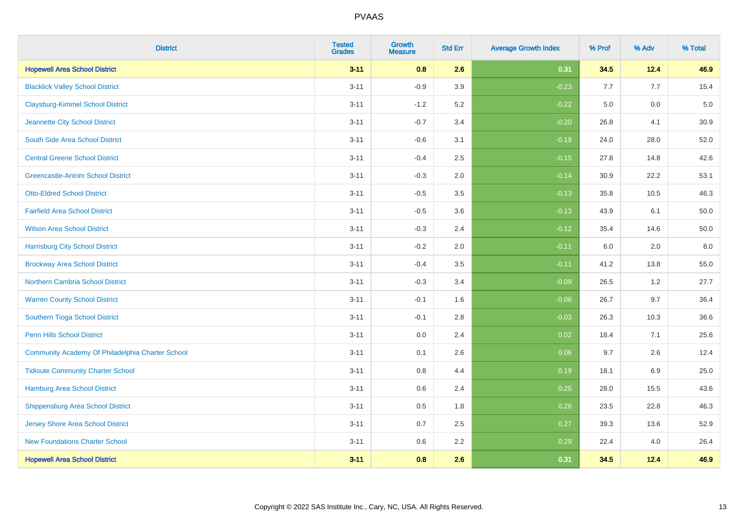| <b>District</b>                                  | <b>Tested</b><br><b>Grades</b> | <b>Growth</b><br><b>Measure</b> | <b>Std Err</b> | <b>Average Growth Index</b> | % Prof | % Adv | % Total |
|--------------------------------------------------|--------------------------------|---------------------------------|----------------|-----------------------------|--------|-------|---------|
| <b>Hopewell Area School District</b>             | $3 - 11$                       | 0.8                             | 2.6            | 0.31                        | 34.5   | 12.4  | 46.9    |
| <b>Blacklick Valley School District</b>          | $3 - 11$                       | $-0.9$                          | 3.9            | $-0.23$                     | 7.7    | 7.7   | 15.4    |
| <b>Claysburg-Kimmel School District</b>          | $3 - 11$                       | $-1.2$                          | 5.2            | $-0.22$                     | 5.0    | 0.0   | $5.0$   |
| Jeannette City School District                   | $3 - 11$                       | $-0.7$                          | 3.4            | $-0.20$                     | 26.8   | 4.1   | 30.9    |
| South Side Area School District                  | $3 - 11$                       | $-0.6$                          | 3.1            | $-0.19$                     | 24.0   | 28.0  | 52.0    |
| <b>Central Greene School District</b>            | $3 - 11$                       | $-0.4$                          | 2.5            | $-0.15$                     | 27.8   | 14.8  | 42.6    |
| <b>Greencastle-Antrim School District</b>        | $3 - 11$                       | $-0.3$                          | 2.0            | $-0.14$                     | 30.9   | 22.2  | 53.1    |
| <b>Otto-Eldred School District</b>               | $3 - 11$                       | $-0.5$                          | 3.5            | $-0.13$                     | 35.8   | 10.5  | 46.3    |
| <b>Fairfield Area School District</b>            | $3 - 11$                       | $-0.5$                          | 3.6            | $-0.13$                     | 43.9   | 6.1   | 50.0    |
| <b>Wilson Area School District</b>               | $3 - 11$                       | $-0.3$                          | 2.4            | $-0.12$                     | 35.4   | 14.6  | 50.0    |
| <b>Harrisburg City School District</b>           | $3 - 11$                       | $-0.2$                          | 2.0            | $-0.11$                     | 6.0    | 2.0   | 8.0     |
| <b>Brockway Area School District</b>             | $3 - 11$                       | $-0.4$                          | 3.5            | $-0.11$                     | 41.2   | 13.8  | 55.0    |
| <b>Northern Cambria School District</b>          | $3 - 11$                       | $-0.3$                          | 3.4            | $-0.09$                     | 26.5   | 1.2   | 27.7    |
| <b>Warren County School District</b>             | $3 - 11$                       | $-0.1$                          | 1.6            | $-0.06$                     | 26.7   | 9.7   | 36.4    |
| Southern Tioga School District                   | $3 - 11$                       | $-0.1$                          | 2.8            | $-0.03$                     | 26.3   | 10.3  | 36.6    |
| Penn Hills School District                       | $3 - 11$                       | 0.0                             | 2.4            | 0.02                        | 18.4   | 7.1   | 25.6    |
| Community Academy Of Philadelphia Charter School | $3 - 11$                       | 0.1                             | 2.6            | 0.06                        | 9.7    | 2.6   | 12.4    |
| <b>Tidioute Community Charter School</b>         | $3 - 11$                       | 0.8                             | 4.4            | 0.19                        | 18.1   | 6.9   | 25.0    |
| Hamburg Area School District                     | $3 - 11$                       | 0.6                             | 2.4            | 0.25                        | 28.0   | 15.5  | 43.6    |
| <b>Shippensburg Area School District</b>         | $3 - 11$                       | 0.5                             | 1.8            | 0.26                        | 23.5   | 22.8  | 46.3    |
| <b>Jersey Shore Area School District</b>         | $3 - 11$                       | 0.7                             | 2.5            | 0.27                        | 39.3   | 13.6  | 52.9    |
| <b>New Foundations Charter School</b>            | $3 - 11$                       | 0.6                             | 2.2            | 0.29                        | 22.4   | 4.0   | 26.4    |
| <b>Hopewell Area School District</b>             | $3 - 11$                       | 0.8                             | 2.6            | 0.31                        | 34.5   | 12.4  | 46.9    |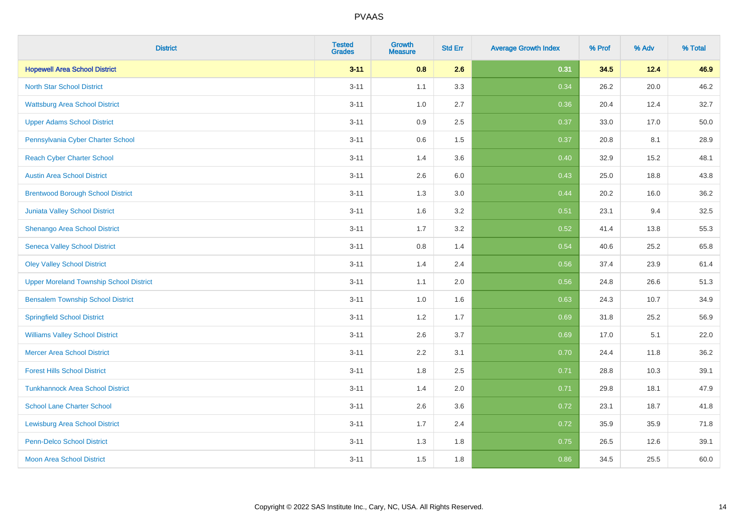| <b>District</b>                                | <b>Tested</b><br><b>Grades</b> | <b>Growth</b><br><b>Measure</b> | <b>Std Err</b> | <b>Average Growth Index</b> | % Prof | % Adv | % Total |
|------------------------------------------------|--------------------------------|---------------------------------|----------------|-----------------------------|--------|-------|---------|
| <b>Hopewell Area School District</b>           | $3 - 11$                       | 0.8                             | 2.6            | 0.31                        | 34.5   | 12.4  | 46.9    |
| <b>North Star School District</b>              | $3 - 11$                       | 1.1                             | 3.3            | 0.34                        | 26.2   | 20.0  | 46.2    |
| <b>Wattsburg Area School District</b>          | $3 - 11$                       | 1.0                             | 2.7            | 0.36                        | 20.4   | 12.4  | 32.7    |
| <b>Upper Adams School District</b>             | $3 - 11$                       | 0.9                             | 2.5            | 0.37                        | 33.0   | 17.0  | 50.0    |
| Pennsylvania Cyber Charter School              | $3 - 11$                       | 0.6                             | 1.5            | 0.37                        | 20.8   | 8.1   | 28.9    |
| <b>Reach Cyber Charter School</b>              | $3 - 11$                       | 1.4                             | 3.6            | 0.40                        | 32.9   | 15.2  | 48.1    |
| <b>Austin Area School District</b>             | $3 - 11$                       | 2.6                             | 6.0            | 0.43                        | 25.0   | 18.8  | 43.8    |
| <b>Brentwood Borough School District</b>       | $3 - 11$                       | 1.3                             | 3.0            | 0.44                        | 20.2   | 16.0  | 36.2    |
| Juniata Valley School District                 | $3 - 11$                       | 1.6                             | 3.2            | 0.51                        | 23.1   | 9.4   | 32.5    |
| Shenango Area School District                  | $3 - 11$                       | 1.7                             | 3.2            | 0.52                        | 41.4   | 13.8  | 55.3    |
| <b>Seneca Valley School District</b>           | $3 - 11$                       | 0.8                             | 1.4            | 0.54                        | 40.6   | 25.2  | 65.8    |
| <b>Oley Valley School District</b>             | $3 - 11$                       | 1.4                             | 2.4            | 0.56                        | 37.4   | 23.9  | 61.4    |
| <b>Upper Moreland Township School District</b> | $3 - 11$                       | 1.1                             | 2.0            | 0.56                        | 24.8   | 26.6  | 51.3    |
| <b>Bensalem Township School District</b>       | $3 - 11$                       | 1.0                             | 1.6            | 0.63                        | 24.3   | 10.7  | 34.9    |
| <b>Springfield School District</b>             | $3 - 11$                       | 1.2                             | 1.7            | 0.69                        | 31.8   | 25.2  | 56.9    |
| <b>Williams Valley School District</b>         | $3 - 11$                       | 2.6                             | 3.7            | 0.69                        | 17.0   | 5.1   | 22.0    |
| <b>Mercer Area School District</b>             | $3 - 11$                       | $2.2\,$                         | 3.1            | 0.70                        | 24.4   | 11.8  | 36.2    |
| <b>Forest Hills School District</b>            | $3 - 11$                       | 1.8                             | 2.5            | 0.71                        | 28.8   | 10.3  | 39.1    |
| <b>Tunkhannock Area School District</b>        | $3 - 11$                       | 1.4                             | 2.0            | 0.71                        | 29.8   | 18.1  | 47.9    |
| <b>School Lane Charter School</b>              | $3 - 11$                       | 2.6                             | 3.6            | 0.72                        | 23.1   | 18.7  | 41.8    |
| <b>Lewisburg Area School District</b>          | $3 - 11$                       | 1.7                             | 2.4            | 0.72                        | 35.9   | 35.9  | 71.8    |
| <b>Penn-Delco School District</b>              | $3 - 11$                       | 1.3                             | 1.8            | 0.75                        | 26.5   | 12.6  | 39.1    |
| <b>Moon Area School District</b>               | $3 - 11$                       | 1.5                             | 1.8            | 0.86                        | 34.5   | 25.5  | 60.0    |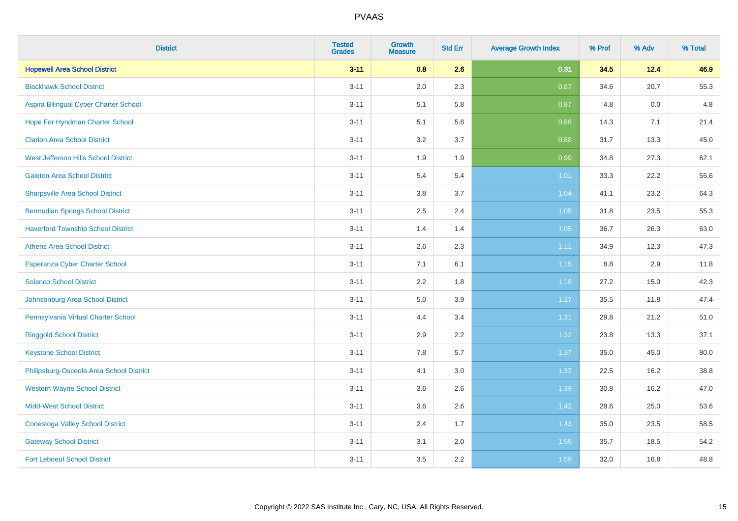| <b>District</b>                           | <b>Tested</b><br><b>Grades</b> | <b>Growth</b><br><b>Measure</b> | <b>Std Err</b> | <b>Average Growth Index</b> | % Prof | % Adv | % Total |
|-------------------------------------------|--------------------------------|---------------------------------|----------------|-----------------------------|--------|-------|---------|
| <b>Hopewell Area School District</b>      | $3 - 11$                       | 0.8                             | 2.6            | 0.31                        | 34.5   | 12.4  | 46.9    |
| <b>Blackhawk School District</b>          | $3 - 11$                       | 2.0                             | 2.3            | 0.87                        | 34.6   | 20.7  | 55.3    |
| Aspira Bilingual Cyber Charter School     | $3 - 11$                       | 5.1                             | 5.8            | 0.87                        | 4.8    | 0.0   | 4.8     |
| Hope For Hyndman Charter School           | $3 - 11$                       | 5.1                             | 5.8            | 0.88                        | 14.3   | 7.1   | 21.4    |
| <b>Clarion Area School District</b>       | $3 - 11$                       | 3.2                             | 3.7            | 0.88                        | 31.7   | 13.3  | 45.0    |
| West Jefferson Hills School District      | $3 - 11$                       | 1.9                             | 1.9            | 0.99                        | 34.8   | 27.3  | 62.1    |
| <b>Galeton Area School District</b>       | $3 - 11$                       | 5.4                             | 5.4            | $1.01$                      | 33.3   | 22.2  | 55.6    |
| <b>Sharpsville Area School District</b>   | $3 - 11$                       | 3.8                             | 3.7            | 1.04                        | 41.1   | 23.2  | 64.3    |
| <b>Bermudian Springs School District</b>  | $3 - 11$                       | 2.5                             | 2.4            | 1.05                        | 31.8   | 23.5  | 55.3    |
| <b>Haverford Township School District</b> | $3 - 11$                       | 1.4                             | 1.4            | 1.05                        | 36.7   | 26.3  | 63.0    |
| <b>Athens Area School District</b>        | $3 - 11$                       | 2.6                             | 2.3            | 1.11                        | 34.9   | 12.3  | 47.3    |
| Esperanza Cyber Charter School            | $3 - 11$                       | 7.1                             | 6.1            | 1.15                        | 8.8    | 2.9   | 11.8    |
| <b>Solanco School District</b>            | $3 - 11$                       | 2.2                             | 1.8            | 1.18                        | 27.2   | 15.0  | 42.3    |
| Johnsonburg Area School District          | $3 - 11$                       | 5.0                             | 3.9            | 1.27                        | 35.5   | 11.8  | 47.4    |
| Pennsylvania Virtual Charter School       | $3 - 11$                       | 4.4                             | 3.4            | 1.31                        | 29.8   | 21.2  | 51.0    |
| <b>Ringgold School District</b>           | $3 - 11$                       | 2.9                             | 2.2            | 1.32                        | 23.8   | 13.3  | 37.1    |
| <b>Keystone School District</b>           | $3 - 11$                       | 7.8                             | 5.7            | 1.37                        | 35.0   | 45.0  | 80.0    |
| Philipsburg-Osceola Area School District  | $3 - 11$                       | 4.1                             | 3.0            | 1.37                        | 22.5   | 16.2  | 38.8    |
| <b>Western Wayne School District</b>      | $3 - 11$                       | 3.6                             | 2.6            | 1.39                        | 30.8   | 16.2  | 47.0    |
| <b>Midd-West School District</b>          | $3 - 11$                       | 3.6                             | 2.6            | 1.42                        | 28.6   | 25.0  | 53.6    |
| <b>Conestoga Valley School District</b>   | $3 - 11$                       | 2.4                             | 1.7            | 1.43                        | 35.0   | 23.5  | 58.5    |
| <b>Gateway School District</b>            | $3 - 11$                       | 3.1                             | 2.0            | 1.55                        | 35.7   | 18.5  | 54.2    |
| <b>Fort Leboeuf School District</b>       | $3 - 11$                       | 3.5                             | 2.2            | 1.58                        | 32.0   | 16.8  | 48.8    |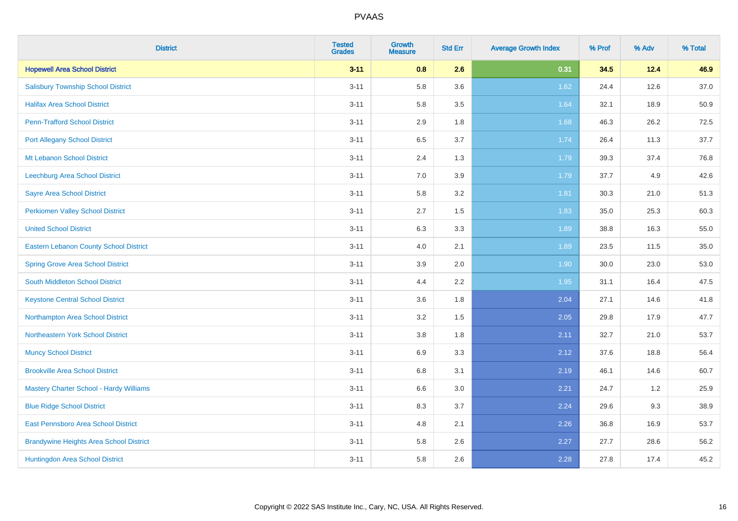| <b>District</b>                                | <b>Tested</b><br><b>Grades</b> | <b>Growth</b><br><b>Measure</b> | <b>Std Err</b> | <b>Average Growth Index</b> | % Prof | % Adv | % Total |
|------------------------------------------------|--------------------------------|---------------------------------|----------------|-----------------------------|--------|-------|---------|
| <b>Hopewell Area School District</b>           | $3 - 11$                       | 0.8                             | 2.6            | 0.31                        | 34.5   | 12.4  | 46.9    |
| <b>Salisbury Township School District</b>      | $3 - 11$                       | 5.8                             | 3.6            | 1.62                        | 24.4   | 12.6  | 37.0    |
| <b>Halifax Area School District</b>            | $3 - 11$                       | 5.8                             | 3.5            | 1.64                        | 32.1   | 18.9  | 50.9    |
| <b>Penn-Trafford School District</b>           | $3 - 11$                       | 2.9                             | 1.8            | 1.68                        | 46.3   | 26.2  | 72.5    |
| <b>Port Allegany School District</b>           | $3 - 11$                       | 6.5                             | 3.7            | 1.74                        | 26.4   | 11.3  | 37.7    |
| Mt Lebanon School District                     | $3 - 11$                       | 2.4                             | 1.3            | 1.79                        | 39.3   | 37.4  | 76.8    |
| Leechburg Area School District                 | $3 - 11$                       | 7.0                             | 3.9            | 1.79                        | 37.7   | 4.9   | 42.6    |
| <b>Sayre Area School District</b>              | $3 - 11$                       | 5.8                             | 3.2            | 1.81                        | 30.3   | 21.0  | 51.3    |
| <b>Perkiomen Valley School District</b>        | $3 - 11$                       | 2.7                             | 1.5            | 1.83                        | 35.0   | 25.3  | 60.3    |
| <b>United School District</b>                  | $3 - 11$                       | 6.3                             | 3.3            | 1.89                        | 38.8   | 16.3  | 55.0    |
| <b>Eastern Lebanon County School District</b>  | $3 - 11$                       | 4.0                             | 2.1            | 1.89                        | 23.5   | 11.5  | 35.0    |
| <b>Spring Grove Area School District</b>       | $3 - 11$                       | 3.9                             | 2.0            | 1.90                        | 30.0   | 23.0  | 53.0    |
| South Middleton School District                | $3 - 11$                       | 4.4                             | 2.2            | 1.95                        | 31.1   | 16.4  | 47.5    |
| <b>Keystone Central School District</b>        | $3 - 11$                       | 3.6                             | 1.8            | 2.04                        | 27.1   | 14.6  | 41.8    |
| Northampton Area School District               | $3 - 11$                       | 3.2                             | 1.5            | 2.05                        | 29.8   | 17.9  | 47.7    |
| Northeastern York School District              | $3 - 11$                       | 3.8                             | 1.8            | 2.11                        | 32.7   | 21.0  | 53.7    |
| <b>Muncy School District</b>                   | $3 - 11$                       | 6.9                             | 3.3            | 2.12                        | 37.6   | 18.8  | 56.4    |
| <b>Brookville Area School District</b>         | $3 - 11$                       | 6.8                             | 3.1            | 2.19                        | 46.1   | 14.6  | 60.7    |
| Mastery Charter School - Hardy Williams        | $3 - 11$                       | 6.6                             | 3.0            | 2.21                        | 24.7   | 1.2   | 25.9    |
| <b>Blue Ridge School District</b>              | $3 - 11$                       | 8.3                             | 3.7            | 2.24                        | 29.6   | 9.3   | 38.9    |
| East Pennsboro Area School District            | $3 - 11$                       | 4.8                             | 2.1            | 2.26                        | 36.8   | 16.9  | 53.7    |
| <b>Brandywine Heights Area School District</b> | $3 - 11$                       | 5.8                             | 2.6            | 2.27                        | 27.7   | 28.6  | 56.2    |
| Huntingdon Area School District                | $3 - 11$                       | 5.8                             | 2.6            | 2.28                        | 27.8   | 17.4  | 45.2    |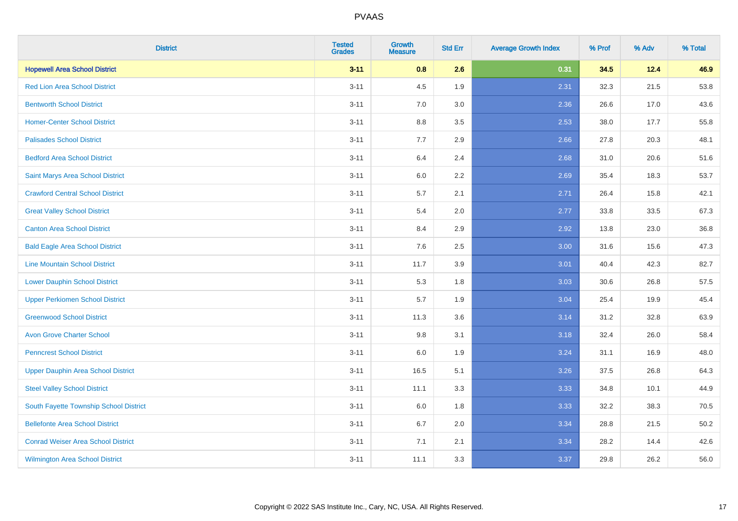| <b>District</b>                           | <b>Tested</b><br><b>Grades</b> | <b>Growth</b><br><b>Measure</b> | <b>Std Err</b> | <b>Average Growth Index</b> | % Prof | % Adv | % Total |
|-------------------------------------------|--------------------------------|---------------------------------|----------------|-----------------------------|--------|-------|---------|
| <b>Hopewell Area School District</b>      | $3 - 11$                       | 0.8                             | 2.6            | 0.31                        | 34.5   | 12.4  | 46.9    |
| <b>Red Lion Area School District</b>      | $3 - 11$                       | 4.5                             | 1.9            | 2.31                        | 32.3   | 21.5  | 53.8    |
| <b>Bentworth School District</b>          | $3 - 11$                       | 7.0                             | 3.0            | 2.36                        | 26.6   | 17.0  | 43.6    |
| <b>Homer-Center School District</b>       | $3 - 11$                       | $8.8\,$                         | 3.5            | 2.53                        | 38.0   | 17.7  | 55.8    |
| <b>Palisades School District</b>          | $3 - 11$                       | 7.7                             | 2.9            | 2.66                        | 27.8   | 20.3  | 48.1    |
| <b>Bedford Area School District</b>       | $3 - 11$                       | 6.4                             | 2.4            | 2.68                        | 31.0   | 20.6  | 51.6    |
| Saint Marys Area School District          | $3 - 11$                       | 6.0                             | 2.2            | 2.69                        | 35.4   | 18.3  | 53.7    |
| <b>Crawford Central School District</b>   | $3 - 11$                       | 5.7                             | 2.1            | 2.71                        | 26.4   | 15.8  | 42.1    |
| <b>Great Valley School District</b>       | $3 - 11$                       | 5.4                             | 2.0            | 2.77                        | 33.8   | 33.5  | 67.3    |
| <b>Canton Area School District</b>        | $3 - 11$                       | 8.4                             | 2.9            | 2.92                        | 13.8   | 23.0  | 36.8    |
| <b>Bald Eagle Area School District</b>    | $3 - 11$                       | 7.6                             | 2.5            | 3.00                        | 31.6   | 15.6  | 47.3    |
| <b>Line Mountain School District</b>      | $3 - 11$                       | 11.7                            | 3.9            | 3.01                        | 40.4   | 42.3  | 82.7    |
| <b>Lower Dauphin School District</b>      | $3 - 11$                       | 5.3                             | 1.8            | 3.03                        | 30.6   | 26.8  | 57.5    |
| <b>Upper Perkiomen School District</b>    | $3 - 11$                       | 5.7                             | 1.9            | 3.04                        | 25.4   | 19.9  | 45.4    |
| <b>Greenwood School District</b>          | $3 - 11$                       | 11.3                            | 3.6            | 3.14                        | 31.2   | 32.8  | 63.9    |
| <b>Avon Grove Charter School</b>          | $3 - 11$                       | 9.8                             | 3.1            | 3.18                        | 32.4   | 26.0  | 58.4    |
| <b>Penncrest School District</b>          | $3 - 11$                       | 6.0                             | 1.9            | 3.24                        | 31.1   | 16.9  | 48.0    |
| <b>Upper Dauphin Area School District</b> | $3 - 11$                       | 16.5                            | 5.1            | 3.26                        | 37.5   | 26.8  | 64.3    |
| <b>Steel Valley School District</b>       | $3 - 11$                       | 11.1                            | 3.3            | 3.33                        | 34.8   | 10.1  | 44.9    |
| South Fayette Township School District    | $3 - 11$                       | 6.0                             | 1.8            | 3.33                        | 32.2   | 38.3  | 70.5    |
| <b>Bellefonte Area School District</b>    | $3 - 11$                       | 6.7                             | 2.0            | 3.34                        | 28.8   | 21.5  | 50.2    |
| <b>Conrad Weiser Area School District</b> | $3 - 11$                       | 7.1                             | 2.1            | 3.34                        | 28.2   | 14.4  | 42.6    |
| <b>Wilmington Area School District</b>    | $3 - 11$                       | 11.1                            | 3.3            | 3.37                        | 29.8   | 26.2  | 56.0    |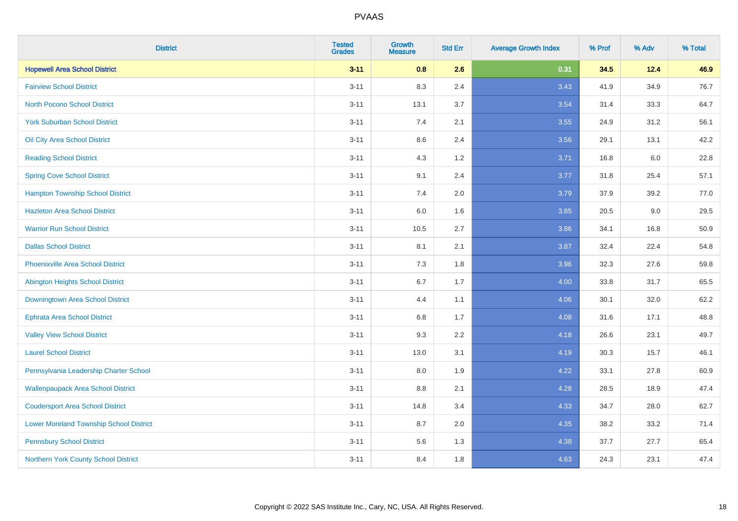| <b>District</b>                                | <b>Tested</b><br><b>Grades</b> | <b>Growth</b><br><b>Measure</b> | <b>Std Err</b> | <b>Average Growth Index</b> | % Prof | % Adv   | % Total |
|------------------------------------------------|--------------------------------|---------------------------------|----------------|-----------------------------|--------|---------|---------|
| <b>Hopewell Area School District</b>           | $3 - 11$                       | 0.8                             | 2.6            | 0.31                        | 34.5   | 12.4    | 46.9    |
| <b>Fairview School District</b>                | $3 - 11$                       | 8.3                             | 2.4            | 3.43                        | 41.9   | 34.9    | 76.7    |
| <b>North Pocono School District</b>            | $3 - 11$                       | 13.1                            | 3.7            | 3.54                        | 31.4   | 33.3    | 64.7    |
| <b>York Suburban School District</b>           | $3 - 11$                       | 7.4                             | 2.1            | 3.55                        | 24.9   | 31.2    | 56.1    |
| Oil City Area School District                  | $3 - 11$                       | 8.6                             | 2.4            | 3.56                        | 29.1   | 13.1    | 42.2    |
| <b>Reading School District</b>                 | $3 - 11$                       | 4.3                             | 1.2            | 3.71                        | 16.8   | $6.0\,$ | 22.8    |
| <b>Spring Cove School District</b>             | $3 - 11$                       | 9.1                             | 2.4            | 3.77                        | 31.8   | 25.4    | 57.1    |
| <b>Hampton Township School District</b>        | $3 - 11$                       | 7.4                             | 2.0            | 3.79                        | 37.9   | 39.2    | 77.0    |
| <b>Hazleton Area School District</b>           | $3 - 11$                       | 6.0                             | 1.6            | 3.85                        | 20.5   | 9.0     | 29.5    |
| <b>Warrior Run School District</b>             | $3 - 11$                       | 10.5                            | 2.7            | 3.86                        | 34.1   | 16.8    | 50.9    |
| <b>Dallas School District</b>                  | $3 - 11$                       | 8.1                             | 2.1            | 3.87                        | 32.4   | 22.4    | 54.8    |
| <b>Phoenixville Area School District</b>       | $3 - 11$                       | 7.3                             | 1.8            | 3.96                        | 32.3   | 27.6    | 59.8    |
| Abington Heights School District               | $3 - 11$                       | 6.7                             | 1.7            | 4.00                        | 33.8   | 31.7    | 65.5    |
| Downingtown Area School District               | $3 - 11$                       | 4.4                             | 1.1            | 4.06                        | 30.1   | 32.0    | 62.2    |
| <b>Ephrata Area School District</b>            | $3 - 11$                       | 6.8                             | 1.7            | 4.08                        | 31.6   | 17.1    | 48.8    |
| <b>Valley View School District</b>             | $3 - 11$                       | 9.3                             | 2.2            | 4.18                        | 26.6   | 23.1    | 49.7    |
| <b>Laurel School District</b>                  | $3 - 11$                       | 13.0                            | 3.1            | 4.19                        | 30.3   | 15.7    | 46.1    |
| Pennsylvania Leadership Charter School         | $3 - 11$                       | 8.0                             | 1.9            | 4.22                        | 33.1   | 27.8    | 60.9    |
| <b>Wallenpaupack Area School District</b>      | $3 - 11$                       | 8.8                             | 2.1            | 4.28                        | 28.5   | 18.9    | 47.4    |
| <b>Coudersport Area School District</b>        | $3 - 11$                       | 14.8                            | 3.4            | 4.33                        | 34.7   | 28.0    | 62.7    |
| <b>Lower Moreland Township School District</b> | $3 - 11$                       | 8.7                             | 2.0            | 4.35                        | 38.2   | 33.2    | 71.4    |
| <b>Pennsbury School District</b>               | $3 - 11$                       | 5.6                             | 1.3            | 4.38                        | 37.7   | 27.7    | 65.4    |
| Northern York County School District           | $3 - 11$                       | 8.4                             | 1.8            | 4.63                        | 24.3   | 23.1    | 47.4    |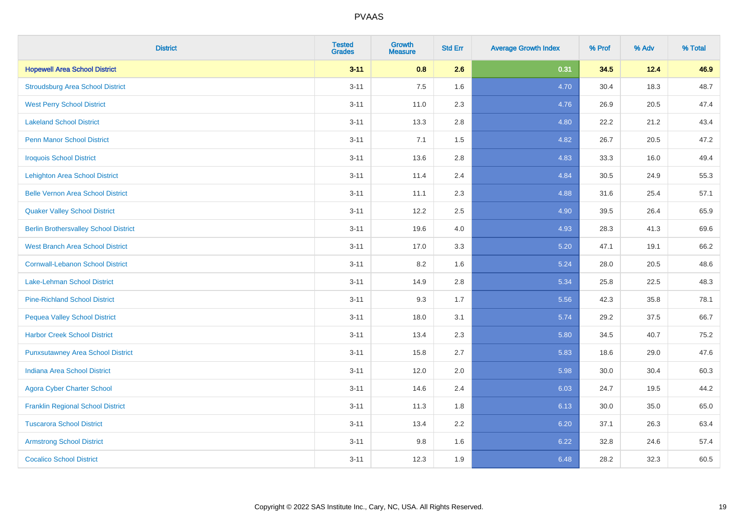| <b>District</b>                              | <b>Tested</b><br><b>Grades</b> | <b>Growth</b><br><b>Measure</b> | <b>Std Err</b> | <b>Average Growth Index</b> | % Prof | % Adv | % Total |
|----------------------------------------------|--------------------------------|---------------------------------|----------------|-----------------------------|--------|-------|---------|
| <b>Hopewell Area School District</b>         | $3 - 11$                       | 0.8                             | 2.6            | 0.31                        | 34.5   | 12.4  | 46.9    |
| <b>Stroudsburg Area School District</b>      | $3 - 11$                       | 7.5                             | 1.6            | 4.70                        | 30.4   | 18.3  | 48.7    |
| <b>West Perry School District</b>            | $3 - 11$                       | 11.0                            | 2.3            | 4.76                        | 26.9   | 20.5  | 47.4    |
| <b>Lakeland School District</b>              | $3 - 11$                       | 13.3                            | 2.8            | 4.80                        | 22.2   | 21.2  | 43.4    |
| <b>Penn Manor School District</b>            | $3 - 11$                       | 7.1                             | 1.5            | 4.82                        | 26.7   | 20.5  | 47.2    |
| <b>Iroquois School District</b>              | $3 - 11$                       | 13.6                            | 2.8            | 4.83                        | 33.3   | 16.0  | 49.4    |
| <b>Lehighton Area School District</b>        | $3 - 11$                       | 11.4                            | 2.4            | 4.84                        | 30.5   | 24.9  | 55.3    |
| <b>Belle Vernon Area School District</b>     | $3 - 11$                       | 11.1                            | 2.3            | 4.88                        | 31.6   | 25.4  | 57.1    |
| <b>Quaker Valley School District</b>         | $3 - 11$                       | 12.2                            | 2.5            | 4.90                        | 39.5   | 26.4  | 65.9    |
| <b>Berlin Brothersvalley School District</b> | $3 - 11$                       | 19.6                            | 4.0            | 4.93                        | 28.3   | 41.3  | 69.6    |
| <b>West Branch Area School District</b>      | $3 - 11$                       | 17.0                            | 3.3            | 5.20                        | 47.1   | 19.1  | 66.2    |
| <b>Cornwall-Lebanon School District</b>      | $3 - 11$                       | 8.2                             | 1.6            | 5.24                        | 28.0   | 20.5  | 48.6    |
| Lake-Lehman School District                  | $3 - 11$                       | 14.9                            | 2.8            | 5.34                        | 25.8   | 22.5  | 48.3    |
| <b>Pine-Richland School District</b>         | $3 - 11$                       | 9.3                             | 1.7            | 5.56                        | 42.3   | 35.8  | 78.1    |
| <b>Pequea Valley School District</b>         | $3 - 11$                       | 18.0                            | 3.1            | 5.74                        | 29.2   | 37.5  | 66.7    |
| <b>Harbor Creek School District</b>          | $3 - 11$                       | 13.4                            | 2.3            | 5.80                        | 34.5   | 40.7  | 75.2    |
| <b>Punxsutawney Area School District</b>     | $3 - 11$                       | 15.8                            | 2.7            | 5.83                        | 18.6   | 29.0  | 47.6    |
| <b>Indiana Area School District</b>          | $3 - 11$                       | 12.0                            | 2.0            | 5.98                        | 30.0   | 30.4  | 60.3    |
| <b>Agora Cyber Charter School</b>            | $3 - 11$                       | 14.6                            | 2.4            | 6.03                        | 24.7   | 19.5  | 44.2    |
| <b>Franklin Regional School District</b>     | $3 - 11$                       | 11.3                            | 1.8            | 6.13                        | 30.0   | 35.0  | 65.0    |
| <b>Tuscarora School District</b>             | $3 - 11$                       | 13.4                            | 2.2            | 6.20                        | 37.1   | 26.3  | 63.4    |
| <b>Armstrong School District</b>             | $3 - 11$                       | 9.8                             | 1.6            | 6.22                        | 32.8   | 24.6  | 57.4    |
| <b>Cocalico School District</b>              | $3 - 11$                       | 12.3                            | 1.9            | 6.48                        | 28.2   | 32.3  | 60.5    |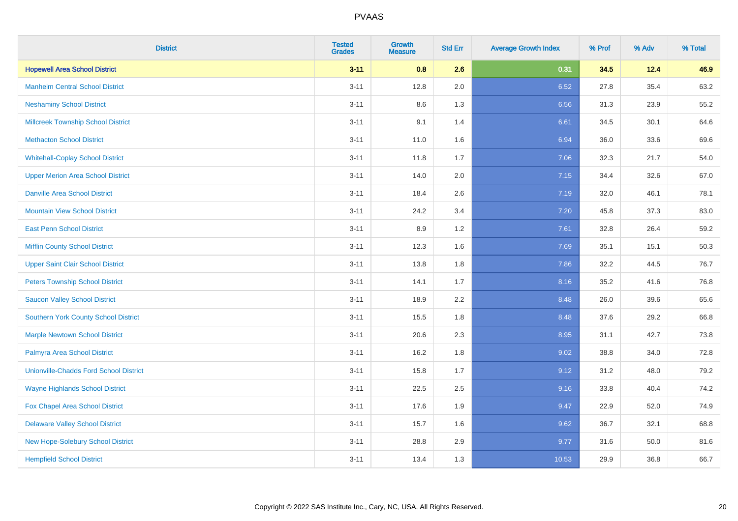| <b>District</b>                               | <b>Tested</b><br><b>Grades</b> | Growth<br><b>Measure</b> | <b>Std Err</b> | <b>Average Growth Index</b> | % Prof | % Adv | % Total |
|-----------------------------------------------|--------------------------------|--------------------------|----------------|-----------------------------|--------|-------|---------|
| <b>Hopewell Area School District</b>          | $3 - 11$                       | 0.8                      | 2.6            | 0.31                        | 34.5   | 12.4  | 46.9    |
| <b>Manheim Central School District</b>        | $3 - 11$                       | 12.8                     | 2.0            | 6.52                        | 27.8   | 35.4  | 63.2    |
| <b>Neshaminy School District</b>              | $3 - 11$                       | 8.6                      | 1.3            | 6.56                        | 31.3   | 23.9  | 55.2    |
| <b>Millcreek Township School District</b>     | $3 - 11$                       | 9.1                      | 1.4            | 6.61                        | 34.5   | 30.1  | 64.6    |
| <b>Methacton School District</b>              | $3 - 11$                       | 11.0                     | 1.6            | 6.94                        | 36.0   | 33.6  | 69.6    |
| <b>Whitehall-Coplay School District</b>       | $3 - 11$                       | 11.8                     | 1.7            | 7.06                        | 32.3   | 21.7  | 54.0    |
| <b>Upper Merion Area School District</b>      | $3 - 11$                       | 14.0                     | 2.0            | 7.15                        | 34.4   | 32.6  | 67.0    |
| <b>Danville Area School District</b>          | $3 - 11$                       | 18.4                     | 2.6            | 7.19                        | 32.0   | 46.1  | 78.1    |
| <b>Mountain View School District</b>          | $3 - 11$                       | 24.2                     | 3.4            | 7.20                        | 45.8   | 37.3  | 83.0    |
| <b>East Penn School District</b>              | $3 - 11$                       | 8.9                      | $1.2\,$        | 7.61                        | 32.8   | 26.4  | 59.2    |
| <b>Mifflin County School District</b>         | $3 - 11$                       | 12.3                     | 1.6            | 7.69                        | 35.1   | 15.1  | 50.3    |
| <b>Upper Saint Clair School District</b>      | $3 - 11$                       | 13.8                     | 1.8            | 7.86                        | 32.2   | 44.5  | 76.7    |
| <b>Peters Township School District</b>        | $3 - 11$                       | 14.1                     | 1.7            | 8.16                        | 35.2   | 41.6  | 76.8    |
| <b>Saucon Valley School District</b>          | $3 - 11$                       | 18.9                     | 2.2            | 8.48                        | 26.0   | 39.6  | 65.6    |
| <b>Southern York County School District</b>   | $3 - 11$                       | 15.5                     | 1.8            | 8.48                        | 37.6   | 29.2  | 66.8    |
| <b>Marple Newtown School District</b>         | $3 - 11$                       | 20.6                     | 2.3            | 8.95                        | 31.1   | 42.7  | 73.8    |
| Palmyra Area School District                  | $3 - 11$                       | 16.2                     | 1.8            | 9.02                        | 38.8   | 34.0  | 72.8    |
| <b>Unionville-Chadds Ford School District</b> | $3 - 11$                       | 15.8                     | 1.7            | 9.12                        | 31.2   | 48.0  | 79.2    |
| <b>Wayne Highlands School District</b>        | $3 - 11$                       | 22.5                     | 2.5            | 9.16                        | 33.8   | 40.4  | 74.2    |
| Fox Chapel Area School District               | $3 - 11$                       | 17.6                     | 1.9            | 9.47                        | 22.9   | 52.0  | 74.9    |
| <b>Delaware Valley School District</b>        | $3 - 11$                       | 15.7                     | 1.6            | 9.62                        | 36.7   | 32.1  | 68.8    |
| New Hope-Solebury School District             | $3 - 11$                       | 28.8                     | 2.9            | 9.77                        | 31.6   | 50.0  | 81.6    |
| <b>Hempfield School District</b>              | $3 - 11$                       | 13.4                     | 1.3            | 10.53                       | 29.9   | 36.8  | 66.7    |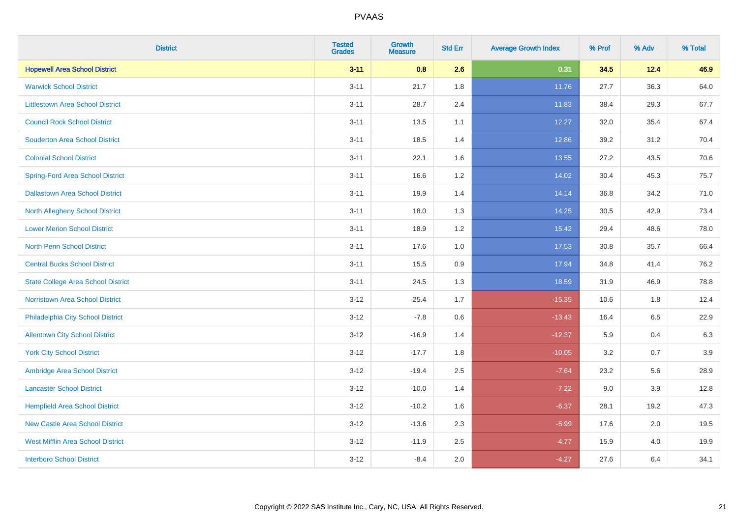| <b>District</b>                           | <b>Tested</b><br><b>Grades</b> | <b>Growth</b><br><b>Measure</b> | <b>Std Err</b> | <b>Average Growth Index</b> | % Prof | % Adv   | % Total |
|-------------------------------------------|--------------------------------|---------------------------------|----------------|-----------------------------|--------|---------|---------|
| <b>Hopewell Area School District</b>      | $3 - 11$                       | 0.8                             | 2.6            | 0.31                        | 34.5   | 12.4    | 46.9    |
| <b>Warwick School District</b>            | $3 - 11$                       | 21.7                            | 1.8            | 11.76                       | 27.7   | 36.3    | 64.0    |
| <b>Littlestown Area School District</b>   | $3 - 11$                       | 28.7                            | 2.4            | 11.83                       | 38.4   | 29.3    | 67.7    |
| <b>Council Rock School District</b>       | $3 - 11$                       | 13.5                            | 1.1            | 12.27                       | 32.0   | 35.4    | 67.4    |
| <b>Souderton Area School District</b>     | $3 - 11$                       | 18.5                            | 1.4            | 12.86                       | 39.2   | 31.2    | 70.4    |
| <b>Colonial School District</b>           | $3 - 11$                       | 22.1                            | 1.6            | 13.55                       | 27.2   | 43.5    | 70.6    |
| <b>Spring-Ford Area School District</b>   | $3 - 11$                       | 16.6                            | 1.2            | 14.02                       | 30.4   | 45.3    | 75.7    |
| <b>Dallastown Area School District</b>    | $3 - 11$                       | 19.9                            | 1.4            | 14.14                       | 36.8   | 34.2    | 71.0    |
| <b>North Allegheny School District</b>    | $3 - 11$                       | 18.0                            | 1.3            | 14.25                       | 30.5   | 42.9    | 73.4    |
| <b>Lower Merion School District</b>       | $3 - 11$                       | 18.9                            | 1.2            | 15.42                       | 29.4   | 48.6    | 78.0    |
| North Penn School District                | $3 - 11$                       | 17.6                            | 1.0            | 17.53                       | 30.8   | 35.7    | 66.4    |
| <b>Central Bucks School District</b>      | $3 - 11$                       | 15.5                            | 0.9            | 17.94                       | 34.8   | 41.4    | 76.2    |
| <b>State College Area School District</b> | $3 - 11$                       | 24.5                            | 1.3            | 18.59                       | 31.9   | 46.9    | 78.8    |
| Norristown Area School District           | $3 - 12$                       | $-25.4$                         | 1.7            | $-15.35$                    | 10.6   | 1.8     | 12.4    |
| Philadelphia City School District         | $3 - 12$                       | $-7.8$                          | 0.6            | $-13.43$                    | 16.4   | 6.5     | 22.9    |
| <b>Allentown City School District</b>     | $3 - 12$                       | $-16.9$                         | 1.4            | $-12.37$                    | 5.9    | 0.4     | 6.3     |
| <b>York City School District</b>          | $3 - 12$                       | $-17.7$                         | 1.8            | $-10.05$                    | 3.2    | 0.7     | 3.9     |
| Ambridge Area School District             | $3 - 12$                       | $-19.4$                         | 2.5            | $-7.64$                     | 23.2   | 5.6     | 28.9    |
| <b>Lancaster School District</b>          | $3 - 12$                       | $-10.0$                         | 1.4            | $-7.22$                     | 9.0    | 3.9     | 12.8    |
| <b>Hempfield Area School District</b>     | $3 - 12$                       | $-10.2$                         | 1.6            | $-6.37$                     | 28.1   | 19.2    | 47.3    |
| <b>New Castle Area School District</b>    | $3 - 12$                       | $-13.6$                         | 2.3            | $-5.99$                     | 17.6   | $2.0\,$ | 19.5    |
| <b>West Mifflin Area School District</b>  | $3 - 12$                       | $-11.9$                         | 2.5            | $-4.77$                     | 15.9   | 4.0     | 19.9    |
| <b>Interboro School District</b>          | $3 - 12$                       | $-8.4$                          | 2.0            | $-4.27$                     | 27.6   | 6.4     | 34.1    |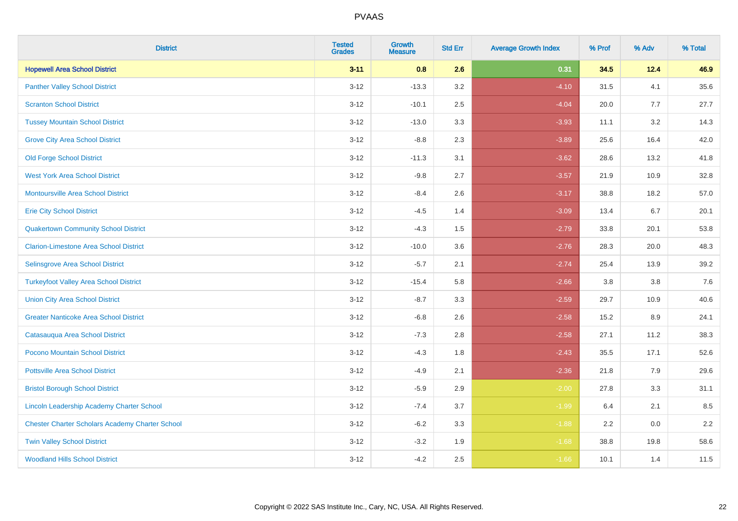| <b>District</b>                                        | <b>Tested</b><br><b>Grades</b> | <b>Growth</b><br><b>Measure</b> | <b>Std Err</b> | <b>Average Growth Index</b> | % Prof | % Adv   | % Total |
|--------------------------------------------------------|--------------------------------|---------------------------------|----------------|-----------------------------|--------|---------|---------|
| <b>Hopewell Area School District</b>                   | $3 - 11$                       | 0.8                             | 2.6            | 0.31                        | 34.5   | 12.4    | 46.9    |
| <b>Panther Valley School District</b>                  | $3 - 12$                       | $-13.3$                         | 3.2            | $-4.10$                     | 31.5   | 4.1     | 35.6    |
| <b>Scranton School District</b>                        | $3 - 12$                       | $-10.1$                         | 2.5            | $-4.04$                     | 20.0   | 7.7     | 27.7    |
| <b>Tussey Mountain School District</b>                 | $3 - 12$                       | $-13.0$                         | 3.3            | $-3.93$                     | 11.1   | 3.2     | 14.3    |
| <b>Grove City Area School District</b>                 | $3 - 12$                       | $-8.8$                          | 2.3            | $-3.89$                     | 25.6   | 16.4    | 42.0    |
| <b>Old Forge School District</b>                       | $3 - 12$                       | $-11.3$                         | 3.1            | $-3.62$                     | 28.6   | 13.2    | 41.8    |
| <b>West York Area School District</b>                  | $3 - 12$                       | $-9.8$                          | 2.7            | $-3.57$                     | 21.9   | 10.9    | 32.8    |
| <b>Montoursville Area School District</b>              | $3 - 12$                       | $-8.4$                          | 2.6            | $-3.17$                     | 38.8   | 18.2    | 57.0    |
| <b>Erie City School District</b>                       | $3 - 12$                       | $-4.5$                          | 1.4            | $-3.09$                     | 13.4   | 6.7     | 20.1    |
| <b>Quakertown Community School District</b>            | $3-12$                         | $-4.3$                          | 1.5            | $-2.79$                     | 33.8   | 20.1    | 53.8    |
| <b>Clarion-Limestone Area School District</b>          | $3-12$                         | $-10.0$                         | 3.6            | $-2.76$                     | 28.3   | 20.0    | 48.3    |
| Selinsgrove Area School District                       | $3 - 12$                       | $-5.7$                          | 2.1            | $-2.74$                     | 25.4   | 13.9    | 39.2    |
| <b>Turkeyfoot Valley Area School District</b>          | $3 - 12$                       | $-15.4$                         | 5.8            | $-2.66$                     | 3.8    | $3.8\,$ | 7.6     |
| <b>Union City Area School District</b>                 | $3 - 12$                       | $-8.7$                          | 3.3            | $-2.59$                     | 29.7   | 10.9    | 40.6    |
| <b>Greater Nanticoke Area School District</b>          | $3 - 12$                       | $-6.8$                          | 2.6            | $-2.58$                     | 15.2   | 8.9     | 24.1    |
| Catasauqua Area School District                        | $3 - 12$                       | $-7.3$                          | 2.8            | $-2.58$                     | 27.1   | 11.2    | 38.3    |
| Pocono Mountain School District                        | $3 - 12$                       | $-4.3$                          | 1.8            | $-2.43$                     | 35.5   | 17.1    | 52.6    |
| <b>Pottsville Area School District</b>                 | $3 - 12$                       | $-4.9$                          | 2.1            | $-2.36$                     | 21.8   | 7.9     | 29.6    |
| <b>Bristol Borough School District</b>                 | $3-12$                         | $-5.9$                          | 2.9            | $-2.00$                     | 27.8   | 3.3     | 31.1    |
| <b>Lincoln Leadership Academy Charter School</b>       | $3 - 12$                       | $-7.4$                          | 3.7            | $-1.99$                     | 6.4    | 2.1     | 8.5     |
| <b>Chester Charter Scholars Academy Charter School</b> | $3 - 12$                       | $-6.2$                          | 3.3            | $-1.88$                     | 2.2    | 0.0     | 2.2     |
| <b>Twin Valley School District</b>                     | $3 - 12$                       | $-3.2$                          | 1.9            | $-1.68$                     | 38.8   | 19.8    | 58.6    |
| <b>Woodland Hills School District</b>                  | $3-12$                         | $-4.2$                          | 2.5            | $-1.66$                     | 10.1   | 1.4     | 11.5    |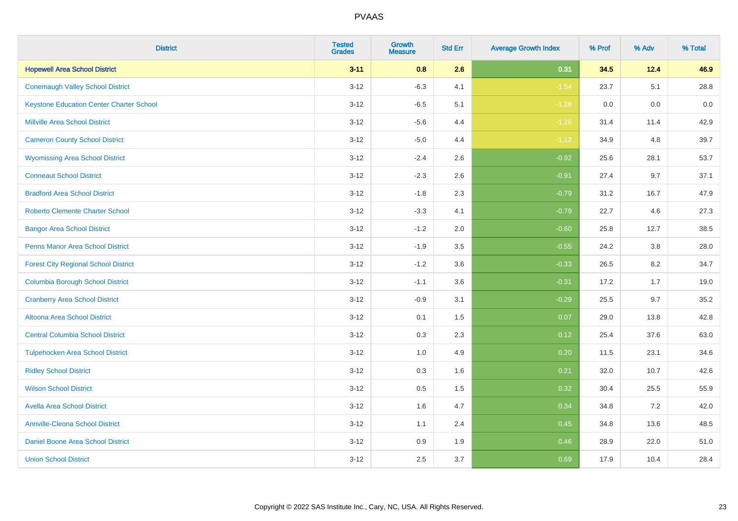| <b>District</b>                                 | <b>Tested</b><br><b>Grades</b> | <b>Growth</b><br><b>Measure</b> | <b>Std Err</b> | <b>Average Growth Index</b> | % Prof | % Adv | % Total |
|-------------------------------------------------|--------------------------------|---------------------------------|----------------|-----------------------------|--------|-------|---------|
| <b>Hopewell Area School District</b>            | $3 - 11$                       | 0.8                             | 2.6            | 0.31                        | 34.5   | 12.4  | 46.9    |
| <b>Conemaugh Valley School District</b>         | $3 - 12$                       | $-6.3$                          | 4.1            | $-1.54$                     | 23.7   | 5.1   | 28.8    |
| <b>Keystone Education Center Charter School</b> | $3 - 12$                       | $-6.5$                          | 5.1            | $-1.28$                     | 0.0    | 0.0   | 0.0     |
| <b>Millville Area School District</b>           | $3 - 12$                       | $-5.6$                          | 4.4            | $-1.26$                     | 31.4   | 11.4  | 42.9    |
| <b>Cameron County School District</b>           | $3-12$                         | $-5.0$                          | 4.4            | $-1.12$                     | 34.9   | 4.8   | 39.7    |
| <b>Wyomissing Area School District</b>          | $3 - 12$                       | $-2.4$                          | 2.6            | $-0.92$                     | 25.6   | 28.1  | 53.7    |
| <b>Conneaut School District</b>                 | $3 - 12$                       | $-2.3$                          | 2.6            | $-0.91$                     | 27.4   | 9.7   | 37.1    |
| <b>Bradford Area School District</b>            | $3 - 12$                       | $-1.8$                          | 2.3            | $-0.79$                     | 31.2   | 16.7  | 47.9    |
| <b>Roberto Clemente Charter School</b>          | $3 - 12$                       | $-3.3$                          | 4.1            | $-0.79$                     | 22.7   | 4.6   | 27.3    |
| <b>Bangor Area School District</b>              | $3 - 12$                       | $-1.2$                          | 2.0            | $-0.60$                     | 25.8   | 12.7  | 38.5    |
| <b>Penns Manor Area School District</b>         | $3 - 12$                       | $-1.9$                          | 3.5            | $-0.55$                     | 24.2   | 3.8   | 28.0    |
| <b>Forest City Regional School District</b>     | $3 - 12$                       | $-1.2$                          | 3.6            | $-0.33$                     | 26.5   | 8.2   | 34.7    |
| <b>Columbia Borough School District</b>         | $3 - 12$                       | $-1.1$                          | 3.6            | $-0.31$                     | 17.2   | 1.7   | 19.0    |
| <b>Cranberry Area School District</b>           | $3 - 12$                       | $-0.9$                          | 3.1            | $-0.29$                     | 25.5   | 9.7   | 35.2    |
| Altoona Area School District                    | $3 - 12$                       | 0.1                             | 1.5            | 0.07                        | 29.0   | 13.8  | 42.8    |
| <b>Central Columbia School District</b>         | $3 - 12$                       | 0.3                             | 2.3            | 0.12                        | 25.4   | 37.6  | 63.0    |
| <b>Tulpehocken Area School District</b>         | $3 - 12$                       | 1.0                             | 4.9            | 0.20                        | 11.5   | 23.1  | 34.6    |
| <b>Ridley School District</b>                   | $3 - 12$                       | 0.3                             | 1.6            | 0.21                        | 32.0   | 10.7  | 42.6    |
| <b>Wilson School District</b>                   | $3 - 12$                       | $0.5\,$                         | 1.5            | 0.32                        | 30.4   | 25.5  | 55.9    |
| <b>Avella Area School District</b>              | $3-12$                         | 1.6                             | 4.7            | 0.34                        | 34.8   | 7.2   | 42.0    |
| <b>Annville-Cleona School District</b>          | $3 - 12$                       | 1.1                             | 2.4            | 0.45                        | 34.8   | 13.6  | 48.5    |
| Daniel Boone Area School District               | $3 - 12$                       | $0.9\,$                         | 1.9            | 0.46                        | 28.9   | 22.0  | 51.0    |
| <b>Union School District</b>                    | $3-12$                         | 2.5                             | 3.7            | 0.69                        | 17.9   | 10.4  | 28.4    |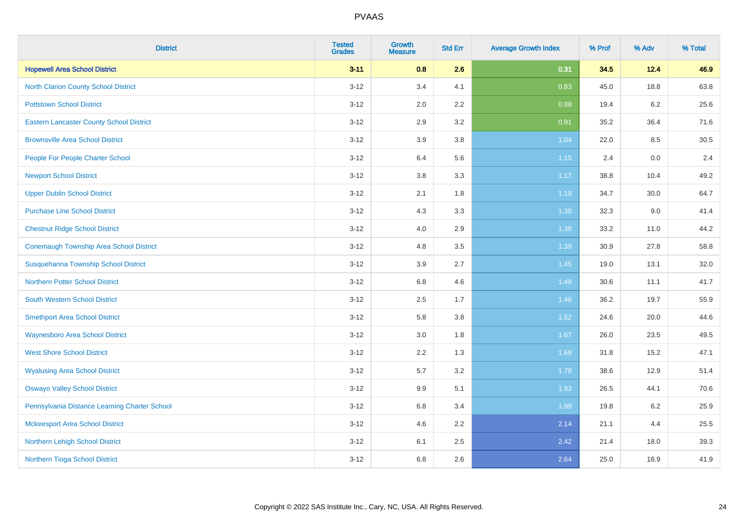| <b>District</b>                                 | <b>Tested</b><br><b>Grades</b> | <b>Growth</b><br><b>Measure</b> | <b>Std Err</b> | <b>Average Growth Index</b> | % Prof | % Adv   | % Total |
|-------------------------------------------------|--------------------------------|---------------------------------|----------------|-----------------------------|--------|---------|---------|
| <b>Hopewell Area School District</b>            | $3 - 11$                       | 0.8                             | 2.6            | 0.31                        | 34.5   | 12.4    | 46.9    |
| <b>North Clarion County School District</b>     | $3 - 12$                       | 3.4                             | 4.1            | 0.83                        | 45.0   | 18.8    | 63.8    |
| <b>Pottstown School District</b>                | $3 - 12$                       | 2.0                             | 2.2            | 0.88                        | 19.4   | $6.2\,$ | 25.6    |
| <b>Eastern Lancaster County School District</b> | $3-12$                         | 2.9                             | 3.2            | 0.91                        | 35.2   | 36.4    | 71.6    |
| <b>Brownsville Area School District</b>         | $3 - 12$                       | 3.9                             | 3.8            | 1.04                        | 22.0   | 8.5     | 30.5    |
| People For People Charter School                | $3 - 12$                       | 6.4                             | 5.6            | 1.15                        | 2.4    | 0.0     | 2.4     |
| <b>Newport School District</b>                  | $3-12$                         | $3.8\,$                         | 3.3            | 1.17                        | 38.8   | 10.4    | 49.2    |
| <b>Upper Dublin School District</b>             | $3 - 12$                       | 2.1                             | 1.8            | 1.19                        | 34.7   | 30.0    | 64.7    |
| <b>Purchase Line School District</b>            | $3 - 12$                       | 4.3                             | 3.3            | 1.30                        | 32.3   | 9.0     | 41.4    |
| <b>Chestnut Ridge School District</b>           | $3 - 12$                       | 4.0                             | 2.9            | 1.38                        | 33.2   | 11.0    | 44.2    |
| <b>Conemaugh Township Area School District</b>  | $3 - 12$                       | 4.8                             | 3.5            | 1.39                        | 30.9   | 27.8    | 58.8    |
| Susquehanna Township School District            | $3 - 12$                       | 3.9                             | 2.7            | 1.45                        | 19.0   | 13.1    | 32.0    |
| <b>Northern Potter School District</b>          | $3 - 12$                       | 6.8                             | 4.6            | 1.48                        | 30.6   | 11.1    | 41.7    |
| <b>South Western School District</b>            | $3-12$                         | 2.5                             | 1.7            | 1.48                        | 36.2   | 19.7    | 55.9    |
| <b>Smethport Area School District</b>           | $3 - 12$                       | 5.8                             | 3.8            | 1.52                        | 24.6   | 20.0    | 44.6    |
| <b>Waynesboro Area School District</b>          | $3-12$                         | 3.0                             | 1.8            | 1.67                        | 26.0   | 23.5    | 49.5    |
| <b>West Shore School District</b>               | $3-12$                         | 2.2                             | 1.3            | 1.68                        | 31.8   | 15.2    | 47.1    |
| <b>Wyalusing Area School District</b>           | $3 - 12$                       | 5.7                             | 3.2            | 1.78                        | 38.6   | 12.9    | 51.4    |
| <b>Oswayo Valley School District</b>            | $3 - 12$                       | 9.9                             | 5.1            | 1.93                        | 26.5   | 44.1    | 70.6    |
| Pennsylvania Distance Learning Charter School   | $3-12$                         | 6.8                             | 3.4            | 1.99                        | 19.8   | $6.2\,$ | 25.9    |
| <b>Mckeesport Area School District</b>          | $3-12$                         | 4.6                             | 2.2            | 2.14                        | 21.1   | 4.4     | 25.5    |
| Northern Lehigh School District                 | $3 - 12$                       | 6.1                             | 2.5            | 2.42                        | 21.4   | 18.0    | 39.3    |
| Northern Tioga School District                  | $3-12$                         | 6.8                             | 2.6            | 2.64                        | 25.0   | 16.9    | 41.9    |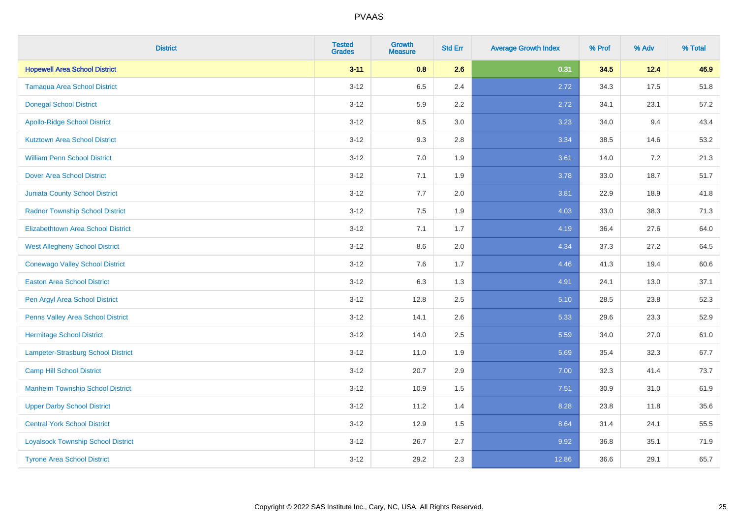| <b>District</b>                           | <b>Tested</b><br><b>Grades</b> | <b>Growth</b><br><b>Measure</b> | <b>Std Err</b> | <b>Average Growth Index</b> | % Prof | % Adv | % Total |
|-------------------------------------------|--------------------------------|---------------------------------|----------------|-----------------------------|--------|-------|---------|
| <b>Hopewell Area School District</b>      | $3 - 11$                       | 0.8                             | 2.6            | 0.31                        | 34.5   | 12.4  | 46.9    |
| <b>Tamaqua Area School District</b>       | $3 - 12$                       | 6.5                             | 2.4            | 2.72                        | 34.3   | 17.5  | 51.8    |
| <b>Donegal School District</b>            | $3 - 12$                       | 5.9                             | 2.2            | 2.72                        | 34.1   | 23.1  | 57.2    |
| <b>Apollo-Ridge School District</b>       | $3-12$                         | 9.5                             | 3.0            | 3.23                        | 34.0   | 9.4   | 43.4    |
| <b>Kutztown Area School District</b>      | $3-12$                         | 9.3                             | 2.8            | 3.34                        | 38.5   | 14.6  | 53.2    |
| <b>William Penn School District</b>       | $3 - 12$                       | 7.0                             | 1.9            | 3.61                        | 14.0   | 7.2   | 21.3    |
| <b>Dover Area School District</b>         | $3 - 12$                       | 7.1                             | 1.9            | 3.78                        | 33.0   | 18.7  | 51.7    |
| <b>Juniata County School District</b>     | $3-12$                         | 7.7                             | 2.0            | 3.81                        | 22.9   | 18.9  | 41.8    |
| <b>Radnor Township School District</b>    | $3-12$                         | 7.5                             | 1.9            | 4.03                        | 33.0   | 38.3  | 71.3    |
| <b>Elizabethtown Area School District</b> | $3 - 12$                       | 7.1                             | 1.7            | 4.19                        | 36.4   | 27.6  | 64.0    |
| <b>West Allegheny School District</b>     | $3 - 12$                       | 8.6                             | 2.0            | 4.34                        | 37.3   | 27.2  | 64.5    |
| <b>Conewago Valley School District</b>    | $3 - 12$                       | 7.6                             | 1.7            | 4.46                        | 41.3   | 19.4  | 60.6    |
| <b>Easton Area School District</b>        | $3 - 12$                       | 6.3                             | 1.3            | 4.91                        | 24.1   | 13.0  | 37.1    |
| Pen Argyl Area School District            | $3 - 12$                       | 12.8                            | 2.5            | 5.10                        | 28.5   | 23.8  | 52.3    |
| Penns Valley Area School District         | $3-12$                         | 14.1                            | 2.6            | 5.33                        | 29.6   | 23.3  | 52.9    |
| <b>Hermitage School District</b>          | $3 - 12$                       | 14.0                            | 2.5            | 5.59                        | 34.0   | 27.0  | 61.0    |
| <b>Lampeter-Strasburg School District</b> | $3 - 12$                       | 11.0                            | 1.9            | 5.69                        | 35.4   | 32.3  | 67.7    |
| <b>Camp Hill School District</b>          | $3-12$                         | 20.7                            | 2.9            | 7.00                        | 32.3   | 41.4  | 73.7    |
| <b>Manheim Township School District</b>   | $3 - 12$                       | 10.9                            | 1.5            | 7.51                        | 30.9   | 31.0  | 61.9    |
| <b>Upper Darby School District</b>        | $3-12$                         | 11.2                            | 1.4            | 8.28                        | 23.8   | 11.8  | 35.6    |
| <b>Central York School District</b>       | $3 - 12$                       | 12.9                            | 1.5            | 8.64                        | 31.4   | 24.1  | 55.5    |
| <b>Loyalsock Township School District</b> | $3 - 12$                       | 26.7                            | 2.7            | 9.92                        | 36.8   | 35.1  | 71.9    |
| <b>Tyrone Area School District</b>        | $3 - 12$                       | 29.2                            | 2.3            | 12.86                       | 36.6   | 29.1  | 65.7    |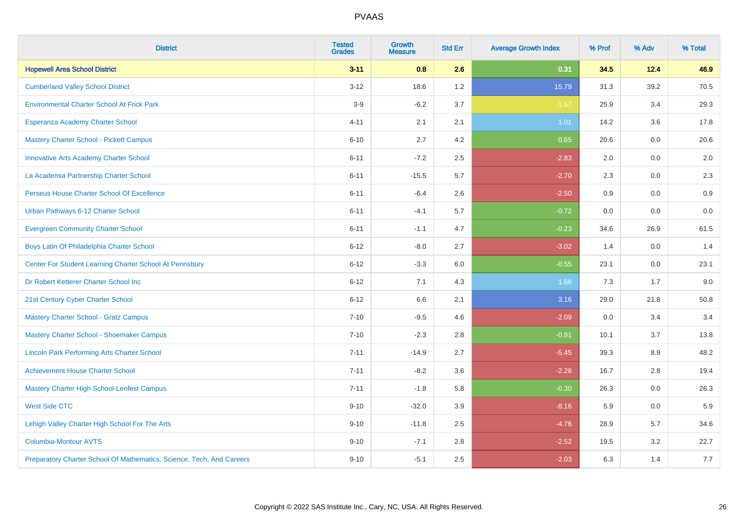| <b>District</b>                                                       | <b>Tested</b><br><b>Grades</b> | <b>Growth</b><br><b>Measure</b> | <b>Std Err</b> | <b>Average Growth Index</b> | % Prof | % Adv | % Total |
|-----------------------------------------------------------------------|--------------------------------|---------------------------------|----------------|-----------------------------|--------|-------|---------|
| <b>Hopewell Area School District</b>                                  | $3 - 11$                       | 0.8                             | 2.6            | 0.31                        | 34.5   | 12.4  | 46.9    |
| <b>Cumberland Valley School District</b>                              | $3 - 12$                       | 18.6                            | 1.2            | 15.79                       | 31.3   | 39.2  | 70.5    |
| <b>Environmental Charter School At Frick Park</b>                     | $3-9$                          | $-6.2$                          | 3.7            | $-1.67$                     | 25.9   | 3.4   | 29.3    |
| Esperanza Academy Charter School                                      | $4 - 11$                       | 2.1                             | 2.1            | 1.01                        | 14.2   | 3.6   | 17.8    |
| <b>Mastery Charter School - Pickett Campus</b>                        | $6 - 10$                       | 2.7                             | 4.2            | 0.65                        | 20.6   | 0.0   | 20.6    |
| <b>Innovative Arts Academy Charter School</b>                         | $6 - 11$                       | $-7.2$                          | 2.5            | $-2.83$                     | 2.0    | 0.0   | 2.0     |
| La Academia Partnership Charter School                                | $6 - 11$                       | $-15.5$                         | 5.7            | $-2.70$                     | 2.3    | 0.0   | 2.3     |
| Perseus House Charter School Of Excellence                            | $6 - 11$                       | $-6.4$                          | 2.6            | $-2.50$                     | 0.9    | 0.0   | 0.9     |
| Urban Pathways 6-12 Charter School                                    | $6 - 11$                       | $-4.1$                          | 5.7            | $-0.72$                     | 0.0    | 0.0   | $0.0\,$ |
| <b>Evergreen Community Charter School</b>                             | $6 - 11$                       | $-1.1$                          | 4.7            | $-0.23$                     | 34.6   | 26.9  | 61.5    |
| Boys Latin Of Philadelphia Charter School                             | $6 - 12$                       | $-8.0$                          | 2.7            | $-3.02$                     | 1.4    | 0.0   | 1.4     |
| Center For Student Learning Charter School At Pennsbury               | $6 - 12$                       | $-3.3$                          | 6.0            | $-0.55$                     | 23.1   | 0.0   | 23.1    |
| Dr Robert Ketterer Charter School Inc                                 | $6 - 12$                       | 7.1                             | 4.3            | 1.66                        | 7.3    | 1.7   | 9.0     |
| 21st Century Cyber Charter School                                     | $6 - 12$                       | 6.6                             | 2.1            | 3.16                        | 29.0   | 21.8  | 50.8    |
| <b>Mastery Charter School - Gratz Campus</b>                          | $7 - 10$                       | $-9.5$                          | 4.6            | $-2.09$                     | 0.0    | 3.4   | 3.4     |
| Mastery Charter School - Shoemaker Campus                             | $7 - 10$                       | $-2.3$                          | 2.8            | $-0.81$                     | 10.1   | 3.7   | 13.8    |
| <b>Lincoln Park Performing Arts Charter School</b>                    | $7 - 11$                       | $-14.9$                         | 2.7            | $-5.45$                     | 39.3   | 8.9   | 48.2    |
| <b>Achievement House Charter School</b>                               | $7 - 11$                       | $-8.2$                          | 3.6            | $-2.28$                     | 16.7   | 2.8   | 19.4    |
| <b>Mastery Charter High School-Lenfest Campus</b>                     | $7 - 11$                       | $-1.8$                          | 5.8            | $-0.30$                     | 26.3   | 0.0   | 26.3    |
| <b>West Side CTC</b>                                                  | $9 - 10$                       | $-32.0$                         | 3.9            | $-8.16$                     | 5.9    | 0.0   | 5.9     |
| Lehigh Valley Charter High School For The Arts                        | $9 - 10$                       | $-11.8$                         | 2.5            | $-4.76$                     | 28.9   | 5.7   | 34.6    |
| <b>Columbia-Montour AVTS</b>                                          | $9 - 10$                       | $-7.1$                          | 2.8            | $-2.52$                     | 19.5   | 3.2   | 22.7    |
| Preparatory Charter School Of Mathematics, Science, Tech, And Careers | $9 - 10$                       | $-5.1$                          | 2.5            | $-2.03$                     | 6.3    | 1.4   | 7.7     |